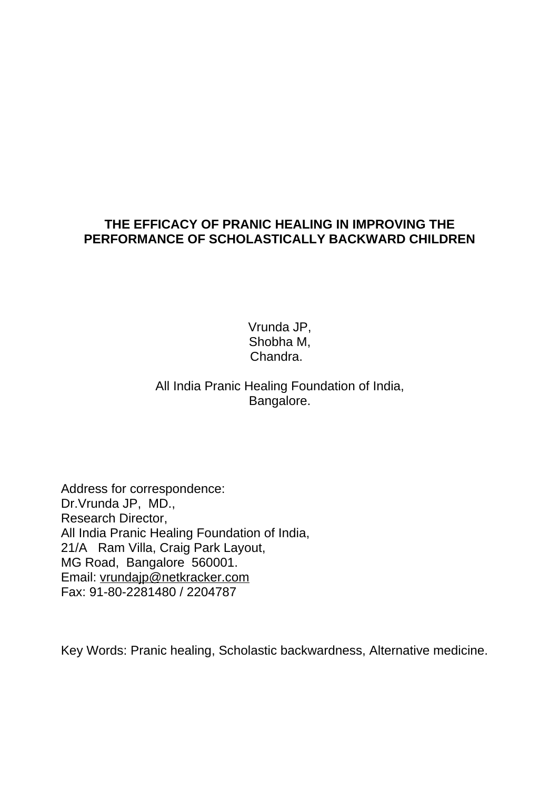### **THE EFFICACY OF PRANIC HEALING IN IMPROVING THE PERFORMANCE OF SCHOLASTICALLY BACKWARD CHILDREN**

Vrunda JP, Shobha M, Chandra.

## All India Pranic Healing Foundation of India, Bangalore.

Address for correspondence: Dr.Vrunda JP, MD., Research Director, All India Pranic Healing Foundation of India, 21/A Ram Villa, Craig Park Layout, MG Road, Bangalore 560001. Email: [vrundajp@netkracker.com](mailto:vrundajp@netkracker.com) Fax: 91-80-2281480 / 2204787

Key Words: Pranic healing, Scholastic backwardness, Alternative medicine.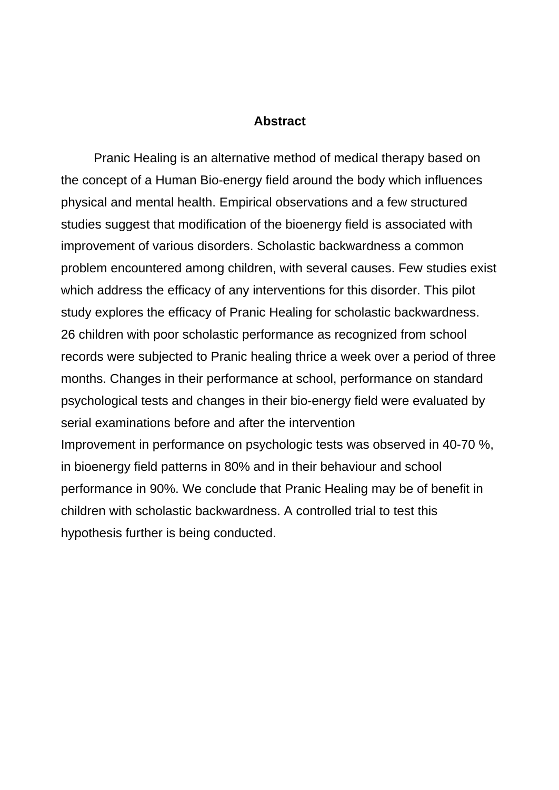#### **Abstract**

 Pranic Healing is an alternative method of medical therapy based on the concept of a Human Bio-energy field around the body which influences physical and mental health. Empirical observations and a few structured studies suggest that modification of the bioenergy field is associated with improvement of various disorders. Scholastic backwardness a common problem encountered among children, with several causes. Few studies exist which address the efficacy of any interventions for this disorder. This pilot study explores the efficacy of Pranic Healing for scholastic backwardness. 26 children with poor scholastic performance as recognized from school records were subjected to Pranic healing thrice a week over a period of three months. Changes in their performance at school, performance on standard psychological tests and changes in their bio-energy field were evaluated by serial examinations before and after the intervention Improvement in performance on psychologic tests was observed in 40-70 %, in bioenergy field patterns in 80% and in their behaviour and school performance in 90%. We conclude that Pranic Healing may be of benefit in children with scholastic backwardness. A controlled trial to test this hypothesis further is being conducted.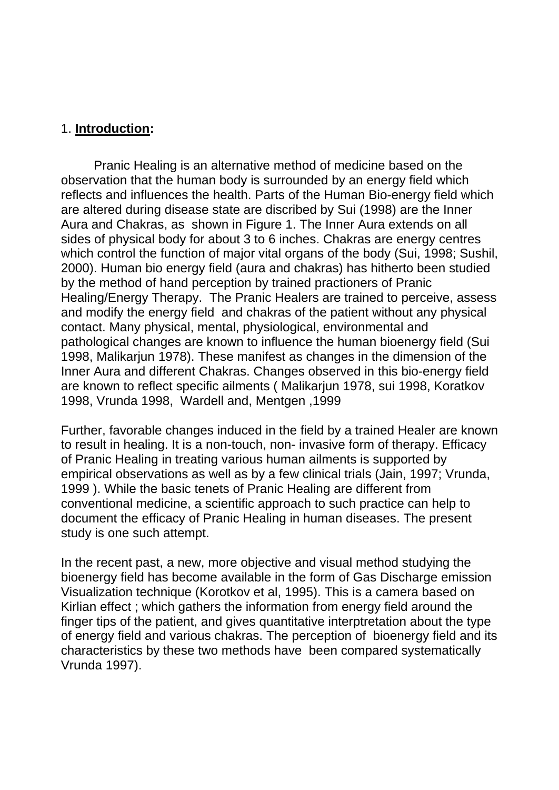#### 1. **Introduction:**

Pranic Healing is an alternative method of medicine based on the observation that the human body is surrounded by an energy field which reflects and influences the health. Parts of the Human Bio-energy field which are altered during disease state are discribed by Sui (1998) are the Inner Aura and Chakras, as shown in Figure 1. The Inner Aura extends on all sides of physical body for about 3 to 6 inches. Chakras are energy centres which control the function of major vital organs of the body (Sui, 1998; Sushil, 2000). Human bio energy field (aura and chakras) has hitherto been studied by the method of hand perception by trained practioners of Pranic Healing/Energy Therapy. The Pranic Healers are trained to perceive, assess and modify the energy field and chakras of the patient without any physical contact. Many physical, mental, physiological, environmental and pathological changes are known to influence the human bioenergy field (Sui 1998, Malikarjun 1978). These manifest as changes in the dimension of the Inner Aura and different Chakras. Changes observed in this bio-energy field are known to reflect specific ailments ( Malikarjun 1978, sui 1998, Koratkov 1998, Vrunda 1998, Wardell and, Mentgen ,1999

Further, favorable changes induced in the field by a trained Healer are known to result in healing. It is a non-touch, non- invasive form of therapy. Efficacy of Pranic Healing in treating various human ailments is supported by empirical observations as well as by a few clinical trials (Jain, 1997; Vrunda, 1999 ). While the basic tenets of Pranic Healing are different from conventional medicine, a scientific approach to such practice can help to document the efficacy of Pranic Healing in human diseases. The present study is one such attempt.

In the recent past, a new, more objective and visual method studying the bioenergy field has become available in the form of Gas Discharge emission Visualization technique (Korotkov et al, 1995). This is a camera based on Kirlian effect ; which gathers the information from energy field around the finger tips of the patient, and gives quantitative interptretation about the type of energy field and various chakras. The perception of bioenergy field and its characteristics by these two methods have been compared systematically Vrunda 1997).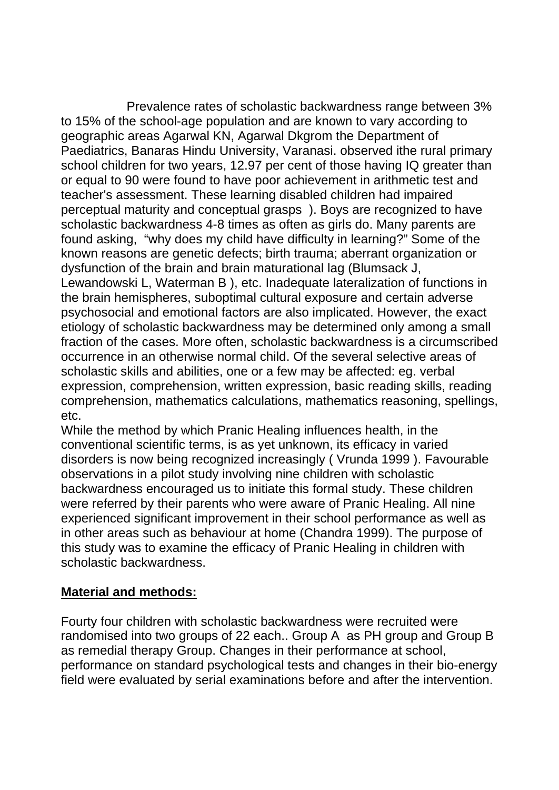Prevalence rates of scholastic backwardness range between 3% to 15% of the school-age population and are known to vary according to geographic areas Agarwal KN, Agarwal Dkgrom the Department of Paediatrics, Banaras Hindu University, Varanasi. observed ithe rural primary school children for two years, 12.97 per cent of those having IQ greater than or equal to 90 were found to have poor achievement in arithmetic test and teacher's assessment. These learning disabled children had impaired perceptual maturity and conceptual grasps ). Boys are recognized to have scholastic backwardness 4-8 times as often as girls do. Many parents are found asking, "why does my child have difficulty in learning?" Some of the known reasons are genetic defects; birth trauma; aberrant organization or dysfunction of the brain and brain maturational lag (Blumsack J, Lewandowski L, Waterman B ), etc. Inadequate lateralization of functions in the brain hemispheres, suboptimal cultural exposure and certain adverse psychosocial and emotional factors are also implicated. However, the exact etiology of scholastic backwardness may be determined only among a small fraction of the cases. More often, scholastic backwardness is a circumscribed occurrence in an otherwise normal child. Of the several selective areas of scholastic skills and abilities, one or a few may be affected: eg. verbal expression, comprehension, written expression, basic reading skills, reading comprehension, mathematics calculations, mathematics reasoning, spellings, etc.

While the method by which Pranic Healing influences health, in the conventional scientific terms, is as yet unknown, its efficacy in varied disorders is now being recognized increasingly ( Vrunda 1999 ). Favourable observations in a pilot study involving nine children with scholastic backwardness encouraged us to initiate this formal study. These children were referred by their parents who were aware of Pranic Healing. All nine experienced significant improvement in their school performance as well as in other areas such as behaviour at home (Chandra 1999). The purpose of this study was to examine the efficacy of Pranic Healing in children with scholastic backwardness.

## **Material and methods:**

Fourty four children with scholastic backwardness were recruited were randomised into two groups of 22 each.. Group A as PH group and Group B as remedial therapy Group. Changes in their performance at school, performance on standard psychological tests and changes in their bio-energy field were evaluated by serial examinations before and after the intervention.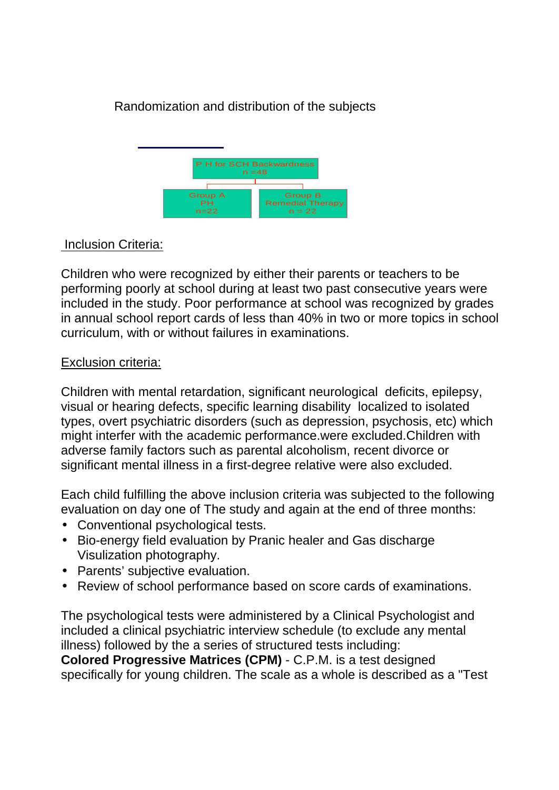# Randomization and distribution of the subjects



## Inclusion Criteria:

Children who were recognized by either their parents or teachers to be performing poorly at school during at least two past consecutive years were included in the study. Poor performance at school was recognized by grades in annual school report cards of less than 40% in two or more topics in school curriculum, with or without failures in examinations.

#### Exclusion criteria:

Children with mental retardation, significant neurological deficits, epilepsy, visual or hearing defects, specific learning disability localized to isolated types, overt psychiatric disorders (such as depression, psychosis, etc) which might interfer with the academic performance.were excluded.Children with adverse family factors such as parental alcoholism, recent divorce or significant mental illness in a first-degree relative were also excluded.

Each child fulfilling the above inclusion criteria was subjected to the following evaluation on day one of The study and again at the end of three months:

- Conventional psychological tests.
- Bio-energy field evaluation by Pranic healer and Gas discharge Visulization photography.
- Parents' subjective evaluation.
- Review of school performance based on score cards of examinations.

The psychological tests were administered by a Clinical Psychologist and included a clinical psychiatric interview schedule (to exclude any mental illness) followed by the a series of structured tests including:

**Colored Progressive Matrices (CPM)** - C.P.M. is a test designed specifically for young children. The scale as a whole is described as a "Test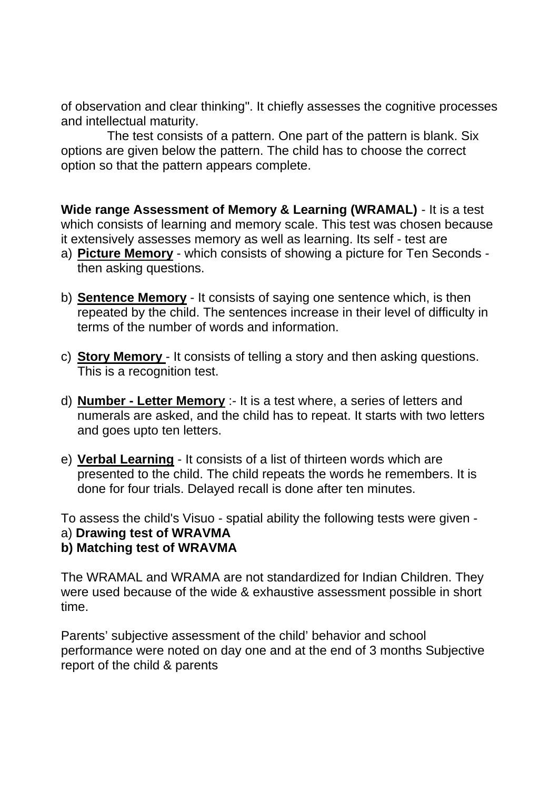of observation and clear thinking". It chiefly assesses the cognitive processes and intellectual maturity.

 The test consists of a pattern. One part of the pattern is blank. Six options are given below the pattern. The child has to choose the correct option so that the pattern appears complete.

**Wide range Assessment of Memory & Learning (WRAMAL)** - It is a test which consists of learning and memory scale. This test was chosen because it extensively assesses memory as well as learning. Its self - test are

- a) **Picture Memory** which consists of showing a picture for Ten Seconds then asking questions.
- b) **Sentence Memory** It consists of saying one sentence which, is then repeated by the child. The sentences increase in their level of difficulty in terms of the number of words and information.
- c) **Story Memory** It consists of telling a story and then asking questions. This is a recognition test.
- d) **Number Letter Memory** :- It is a test where, a series of letters and numerals are asked, and the child has to repeat. It starts with two letters and goes upto ten letters.
- e) **Verbal Learning** It consists of a list of thirteen words which are presented to the child. The child repeats the words he remembers. It is done for four trials. Delayed recall is done after ten minutes.

To assess the child's Visuo - spatial ability the following tests were given -

- a) **Drawing test of WRAVMA**
- **b) Matching test of WRAVMA**

The WRAMAL and WRAMA are not standardized for Indian Children. They were used because of the wide & exhaustive assessment possible in short time.

Parents' subjective assessment of the child' behavior and school performance were noted on day one and at the end of 3 months Subjective report of the child & parents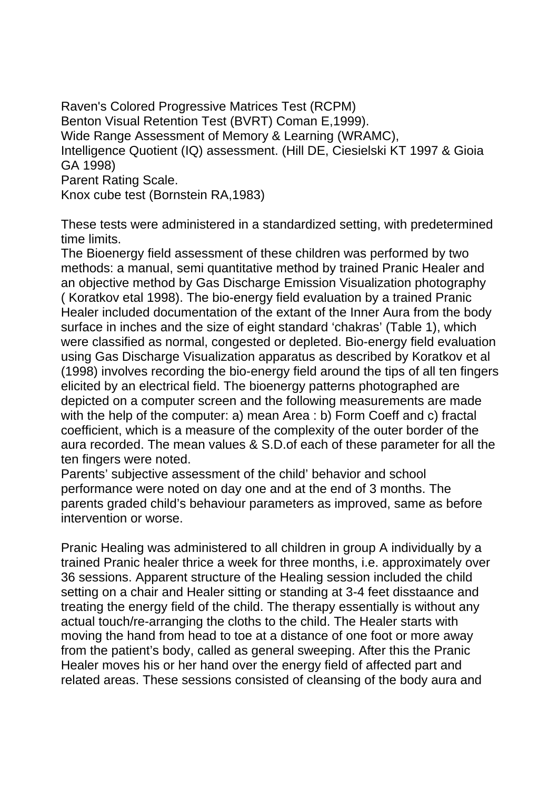Raven's Colored Progressive Matrices Test (RCPM) Benton Visual Retention Test (BVRT) Coman E,1999). Wide Range Assessment of Memory & Learning (WRAMC), Intelligence Quotient (IQ) assessment. (Hill DE, Ciesielski KT 1997 & Gioia GA 1998) Parent Rating Scale. Knox cube test (Bornstein RA,1983)

These tests were administered in a standardized setting, with predetermined time limits.

The Bioenergy field assessment of these children was performed by two methods: a manual, semi quantitative method by trained Pranic Healer and an objective method by Gas Discharge Emission Visualization photography ( Koratkov etal 1998). The bio-energy field evaluation by a trained Pranic Healer included documentation of the extant of the Inner Aura from the body surface in inches and the size of eight standard 'chakras' (Table 1), which were classified as normal, congested or depleted. Bio-energy field evaluation using Gas Discharge Visualization apparatus as described by Koratkov et al (1998) involves recording the bio-energy field around the tips of all ten fingers elicited by an electrical field. The bioenergy patterns photographed are depicted on a computer screen and the following measurements are made with the help of the computer: a) mean Area : b) Form Coeff and c) fractal coefficient, which is a measure of the complexity of the outer border of the aura recorded. The mean values & S.D.of each of these parameter for all the ten fingers were noted.

Parents' subjective assessment of the child' behavior and school performance were noted on day one and at the end of 3 months. The parents graded child's behaviour parameters as improved, same as before intervention or worse.

Pranic Healing was administered to all children in group A individually by a trained Pranic healer thrice a week for three months, i.e. approximately over 36 sessions. Apparent structure of the Healing session included the child setting on a chair and Healer sitting or standing at 3-4 feet disstaance and treating the energy field of the child. The therapy essentially is without any actual touch/re-arranging the cloths to the child. The Healer starts with moving the hand from head to toe at a distance of one foot or more away from the patient's body, called as general sweeping. After this the Pranic Healer moves his or her hand over the energy field of affected part and related areas. These sessions consisted of cleansing of the body aura and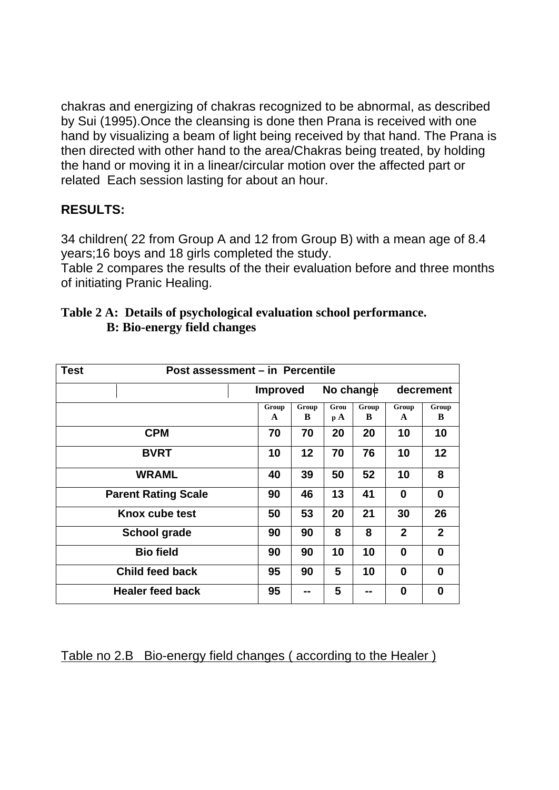chakras and energizing of chakras recognized to be abnormal, as described by Sui (1995).Once the cleansing is done then Prana is received with one hand by visualizing a beam of light being received by that hand. The Prana is then directed with other hand to the area/Chakras being treated, by holding the hand or moving it in a linear/circular motion over the affected part or related Each session lasting for about an hour.

## **RESULTS:**

34 children( 22 from Group A and 12 from Group B) with a mean age of 8.4 years;16 boys and 18 girls completed the study.

Table 2 compares the results of the their evaluation before and three months of initiating Pranic Healing.

| Post assessment - in Percentile<br><b>Test</b> |                       |                 |                        |            |                       |                   |  |
|------------------------------------------------|-----------------------|-----------------|------------------------|------------|-----------------------|-------------------|--|
|                                                |                       | <b>Improved</b> |                        | No change  |                       | decrement         |  |
|                                                | Group<br>$\mathbf{A}$ | Group<br>B      | Grou<br>$\mathbf{p}$ A | Group<br>B | Group<br>$\mathbf{A}$ | Group<br>B        |  |
| <b>CPM</b>                                     | 70                    | 70              | 20                     | 20         | 10                    | 10                |  |
| <b>BVRT</b>                                    | 10                    | 12              | 70                     | 76         | 10                    | $12 \overline{ }$ |  |
| <b>WRAML</b>                                   | 40                    | 39              | 50                     | 52         | 10                    | 8                 |  |
| <b>Parent Rating Scale</b>                     | 90                    | 46              | 13                     | 41         | 0                     | 0                 |  |
| Knox cube test                                 | 50                    | 53              | 20                     | 21         | 30                    | 26                |  |
| <b>School grade</b>                            | 90                    | 90              | 8                      | 8          | $\mathbf{2}$          | $\mathbf{2}$      |  |
| <b>Bio field</b>                               | 90                    | 90              | 10                     | 10         | 0                     | 0                 |  |
| <b>Child feed back</b>                         | 95                    | 90              | 5                      | 10         | 0                     | 0                 |  |
| <b>Healer feed back</b>                        | 95                    | --              | 5                      |            | 0                     | 0                 |  |

#### **Table 2 A: Details of psychological evaluation school performance. B: Bio-energy field changes**

Table no 2.B Bio-energy field changes ( according to the Healer )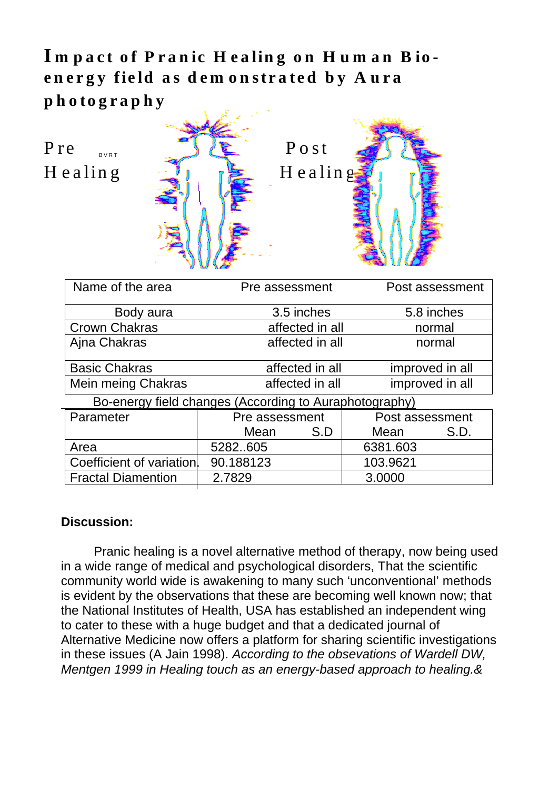Impact of Pranic Healing on Human Bioenergy field as demonstrated by Aura **p h o to g r a phy** 

B V R T



| Name of the area                                       | Pre assessment  |     | Post assessment |  |  |  |  |
|--------------------------------------------------------|-----------------|-----|-----------------|--|--|--|--|
| Body aura                                              | 3.5 inches      |     | 5.8 inches      |  |  |  |  |
| <b>Crown Chakras</b>                                   | affected in all |     | normal          |  |  |  |  |
| Ajna Chakras                                           | affected in all |     | normal          |  |  |  |  |
| <b>Basic Chakras</b>                                   | affected in all |     | improved in all |  |  |  |  |
| Mein meing Chakras                                     | affected in all |     | improved in all |  |  |  |  |
| Bo-energy field changes (According to Auraphotography) |                 |     |                 |  |  |  |  |
| Parameter                                              | Pre assessment  |     | Post assessment |  |  |  |  |
|                                                        | Mean            | S.D | Mean<br>S.D.    |  |  |  |  |
| Area                                                   | 5282605         |     | 6381.603        |  |  |  |  |
| Coefficient of variation.                              | 90.188123       |     | 103.9621        |  |  |  |  |
| <b>Fractal Diamention</b>                              | 2.7829          |     | 3.0000          |  |  |  |  |

## **Discussion:**

Pranic healing is a novel alternative method of therapy, now being used in a wide range of medical and psychological disorders, That the scientific community world wide is awakening to many such 'unconventional' methods is evident by the observations that these are becoming well known now; that the National Institutes of Health, USA has established an independent wing to cater to these with a huge budget and that a dedicated journal of Alternative Medicine now offers a platform for sharing scientific investigations in these issues (A Jain 1998). *According to the obsevations of Wardell DW, Mentgen 1999 in Healing touch as an energy-based approach to healing.&*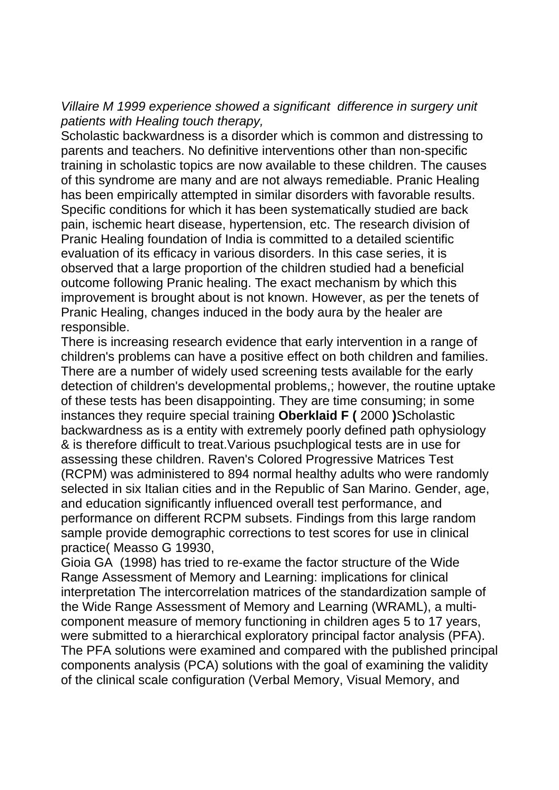*Villaire M 1999 experience showed a significant difference in surgery unit patients with Healing touch therapy,* 

Scholastic backwardness is a disorder which is common and distressing to parents and teachers. No definitive interventions other than non-specific training in scholastic topics are now available to these children. The causes of this syndrome are many and are not always remediable. Pranic Healing has been empirically attempted in similar disorders with favorable results. Specific conditions for which it has been systematically studied are back pain, ischemic heart disease, hypertension, etc. The research division of Pranic Healing foundation of India is committed to a detailed scientific evaluation of its efficacy in various disorders. In this case series, it is observed that a large proportion of the children studied had a beneficial outcome following Pranic healing. The exact mechanism by which this improvement is brought about is not known. However, as per the tenets of Pranic Healing, changes induced in the body aura by the healer are responsible.

There is increasing research evidence that early intervention in a range of children's problems can have a positive effect on both children and families. There are a number of widely used screening tests available for the early detection of children's developmental problems,; however, the routine uptake of these tests has been disappointing. They are time consuming; in some instances they require special training **Oberklaid F (** 2000 **)**Scholastic backwardness as is a entity with extremely poorly defined path ophysiology & is therefore difficult to treat.Various psuchplogical tests are in use for assessing these children. Raven's Colored Progressive Matrices Test (RCPM) was administered to 894 normal healthy adults who were randomly selected in six Italian cities and in the Republic of San Marino. Gender, age, and education significantly influenced overall test performance, and performance on different RCPM subsets. Findings from this large random sample provide demographic corrections to test scores for use in clinical practice( Measso G 19930,

Gioia GA (1998) has tried to re-exame the factor structure of the Wide Range Assessment of Memory and Learning: implications for clinical interpretation The intercorrelation matrices of the standardization sample of the Wide Range Assessment of Memory and Learning (WRAML), a multicomponent measure of memory functioning in children ages 5 to 17 years, were submitted to a hierarchical exploratory principal factor analysis (PFA). The PFA solutions were examined and compared with the published principal components analysis (PCA) solutions with the goal of examining the validity of the clinical scale configuration (Verbal Memory, Visual Memory, and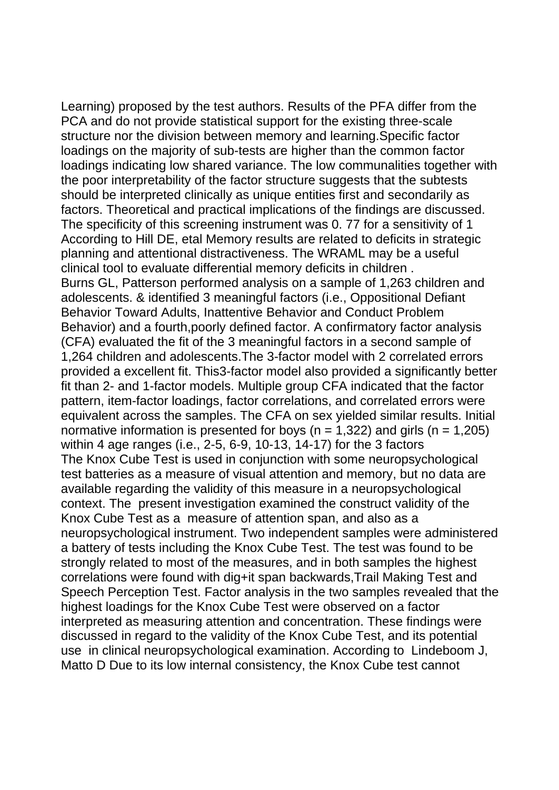Learning) proposed by the test authors. Results of the PFA differ from the PCA and do not provide statistical support for the existing three-scale structure nor the division between memory and learning.Specific factor loadings on the majority of sub-tests are higher than the common factor loadings indicating low shared variance. The low communalities together with the poor interpretability of the factor structure suggests that the subtests should be interpreted clinically as unique entities first and secondarily as factors. Theoretical and practical implications of the findings are discussed. The specificity of this screening instrument was 0. 77 for a sensitivity of 1 According to Hill DE, etal Memory results are related to deficits in strategic planning and attentional distractiveness. The WRAML may be a useful clinical tool to evaluate differential memory deficits in children . Burns GL, Patterson performed analysis on a sample of 1,263 children and adolescents. & identified 3 meaningful factors (i.e., Oppositional Defiant Behavior Toward Adults, Inattentive Behavior and Conduct Problem Behavior) and a fourth,poorly defined factor. A confirmatory factor analysis (CFA) evaluated the fit of the 3 meaningful factors in a second sample of 1,264 children and adolescents.The 3-factor model with 2 correlated errors provided a excellent fit. This3-factor model also provided a significantly better fit than 2- and 1-factor models. Multiple group CFA indicated that the factor pattern, item-factor loadings, factor correlations, and correlated errors were equivalent across the samples. The CFA on sex yielded similar results. Initial normative information is presented for boys ( $n = 1,322$ ) and girls ( $n = 1,205$ ) within 4 age ranges (i.e., 2-5, 6-9, 10-13, 14-17) for the 3 factors The Knox Cube Test is used in conjunction with some neuropsychological test batteries as a measure of visual attention and memory, but no data are available regarding the validity of this measure in a neuropsychological context. The present investigation examined the construct validity of the Knox Cube Test as a measure of attention span, and also as a neuropsychological instrument. Two independent samples were administered a battery of tests including the Knox Cube Test. The test was found to be strongly related to most of the measures, and in both samples the highest correlations were found with dig+it span backwards,Trail Making Test and Speech Perception Test. Factor analysis in the two samples revealed that the highest loadings for the Knox Cube Test were observed on a factor interpreted as measuring attention and concentration. These findings were discussed in regard to the validity of the Knox Cube Test, and its potential use in clinical neuropsychological examination. According to Lindeboom J, Matto D Due to its low internal consistency, the Knox Cube test cannot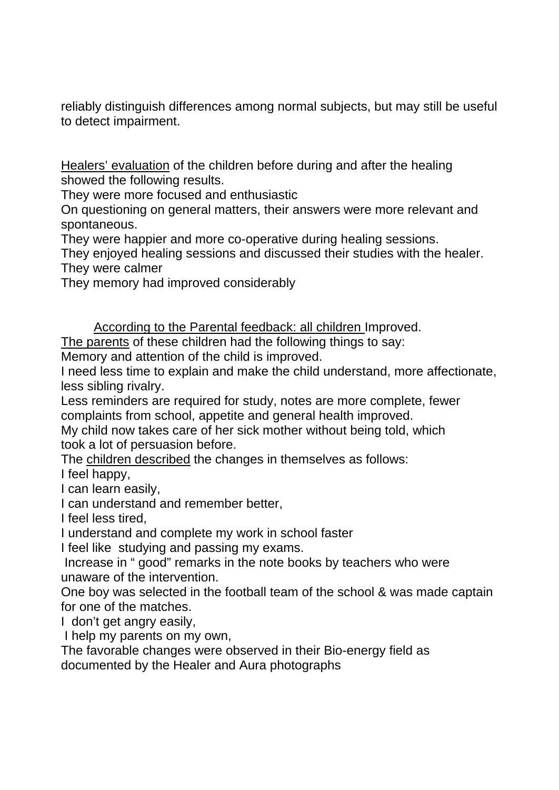reliably distinguish differences among normal subjects, but may still be useful to detect impairment.

Healers' evaluation of the children before during and after the healing showed the following results.

They were more focused and enthusiastic

On questioning on general matters, their answers were more relevant and spontaneous.

They were happier and more co-operative during healing sessions.

They enjoyed healing sessions and discussed their studies with the healer. They were calmer

They memory had improved considerably

According to the Parental feedback: all children Improved.

The parents of these children had the following things to say:

Memory and attention of the child is improved.

I need less time to explain and make the child understand, more affectionate, less sibling rivalry.

Less reminders are required for study, notes are more complete, fewer complaints from school, appetite and general health improved.

My child now takes care of her sick mother without being told, which took a lot of persuasion before.

The children described the changes in themselves as follows:

I feel happy,

I can learn easily,

I can understand and remember better,

I feel less tired,

I understand and complete my work in school faster

I feel like studying and passing my exams.

 Increase in " good" remarks in the note books by teachers who were unaware of the intervention.

One boy was selected in the football team of the school & was made captain for one of the matches.

I don't get angry easily,

I help my parents on my own,

The favorable changes were observed in their Bio-energy field as documented by the Healer and Aura photographs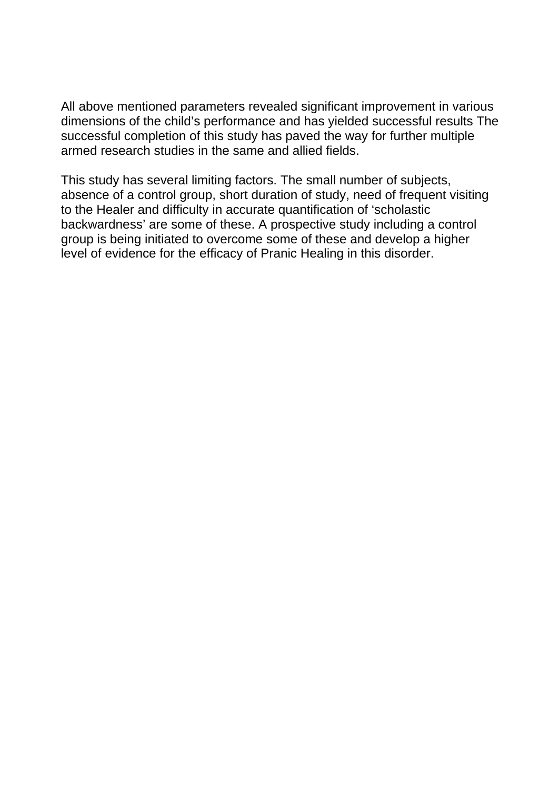All above mentioned parameters revealed significant improvement in various dimensions of the child's performance and has yielded successful results The successful completion of this study has paved the way for further multiple armed research studies in the same and allied fields.

This study has several limiting factors. The small number of subjects, absence of a control group, short duration of study, need of frequent visiting to the Healer and difficulty in accurate quantification of 'scholastic backwardness' are some of these. A prospective study including a control group is being initiated to overcome some of these and develop a higher level of evidence for the efficacy of Pranic Healing in this disorder.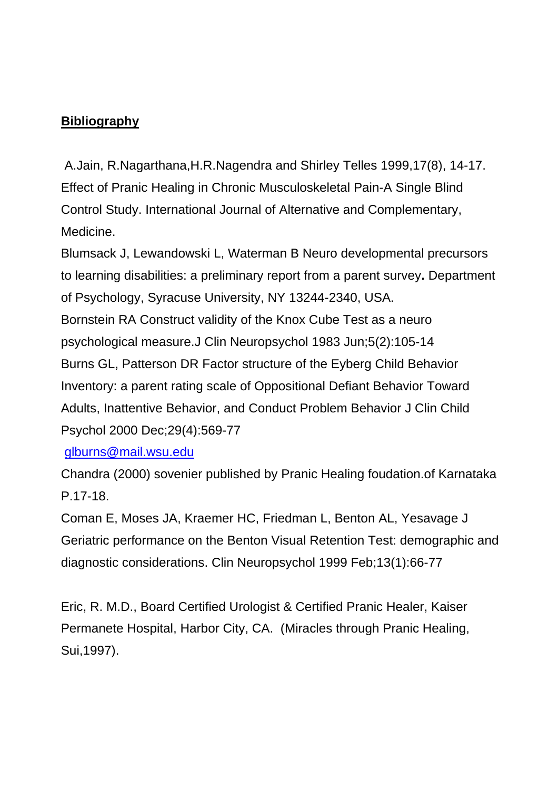## **Bibliography**

 A.Jain, R.Nagarthana,H.R.Nagendra and Shirley Telles 1999,17(8), 14-17. Effect of Pranic Healing in Chronic Musculoskeletal Pain-A Single Blind Control Study. International Journal of Alternative and Complementary, Medicine.

Blumsack J, Lewandowski L, Waterman B Neuro developmental precursors to learning disabilities: a preliminary report from a parent survey**.** Department of Psychology, Syracuse University, NY 13244-2340, USA. Bornstein RA Construct validity of the Knox Cube Test as a neuro psychological measure.J Clin Neuropsychol 1983 Jun;5(2):105-14 Burns GL, Patterson DR Factor structure of the Eyberg Child Behavior Inventory: a parent rating scale of Oppositional Defiant Behavior Toward Adults, Inattentive Behavior, and Conduct Problem Behavior J Clin Child Psychol 2000 Dec;29(4):569-77

[glburns@mail.wsu.edu](mailto:glburns@mail.wsu.edu)

Chandra (2000) sovenier published by Pranic Healing foudation.of Karnataka P.17-18.

Coman E, Moses JA, Kraemer HC, Friedman L, Benton AL, Yesavage J Geriatric performance on the Benton Visual Retention Test: demographic and diagnostic considerations. Clin Neuropsychol 1999 Feb;13(1):66-77

Eric, R. M.D., Board Certified Urologist & Certified Pranic Healer, Kaiser Permanete Hospital, Harbor City, CA. (Miracles through Pranic Healing, Sui,1997).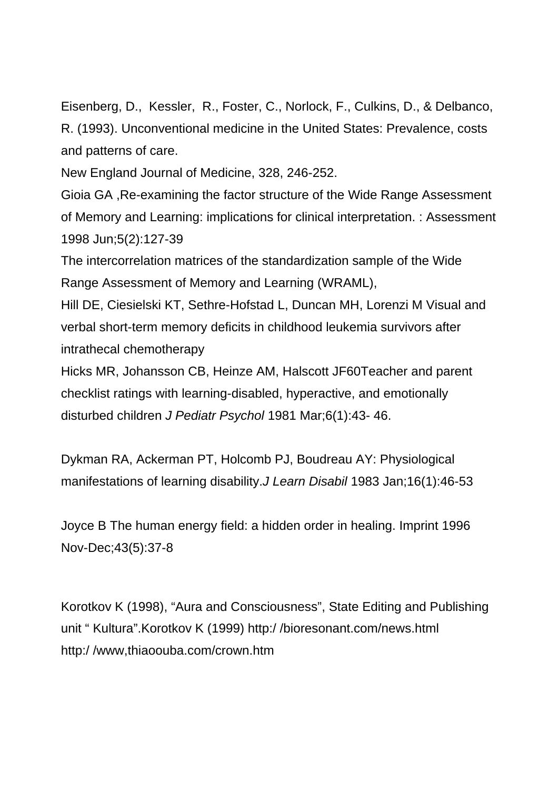Eisenberg, D., Kessler, R., Foster, C., Norlock, F., Culkins, D., & Delbanco, R. (1993). Unconventional medicine in the United States: Prevalence, costs and patterns of care.

New England Journal of Medicine, 328, 246-252.

Gioia GA ,Re-examining the factor structure of the Wide Range Assessment of Memory and Learning: implications for clinical interpretation. : Assessment 1998 Jun;5(2):127-39

The intercorrelation matrices of the standardization sample of the Wide Range Assessment of Memory and Learning (WRAML),

Hill DE, Ciesielski KT, Sethre-Hofstad L, Duncan MH, Lorenzi M Visual and verbal short-term memory deficits in childhood leukemia survivors after intrathecal chemotherapy

Hicks MR, Johansson CB, Heinze AM, Halscott JF60Teacher and parent checklist ratings with learning-disabled, hyperactive, and emotionally disturbed children *J Pediatr Psychol* 1981 Mar;6(1):43- 46.

Dykman RA, Ackerman PT, Holcomb PJ, Boudreau AY: Physiological manifestations of learning disability.*J Learn Disabil* 1983 Jan;16(1):46-53

Joyce B The human energy field: a hidden order in healing. Imprint 1996 Nov-Dec;43(5):37-8

Korotkov K (1998), "Aura and Consciousness", State Editing and Publishing unit " Kultura".Korotkov K (1999) http:/ /bioresonant.com/news.html http:/ /www,thiaoouba.com/crown.htm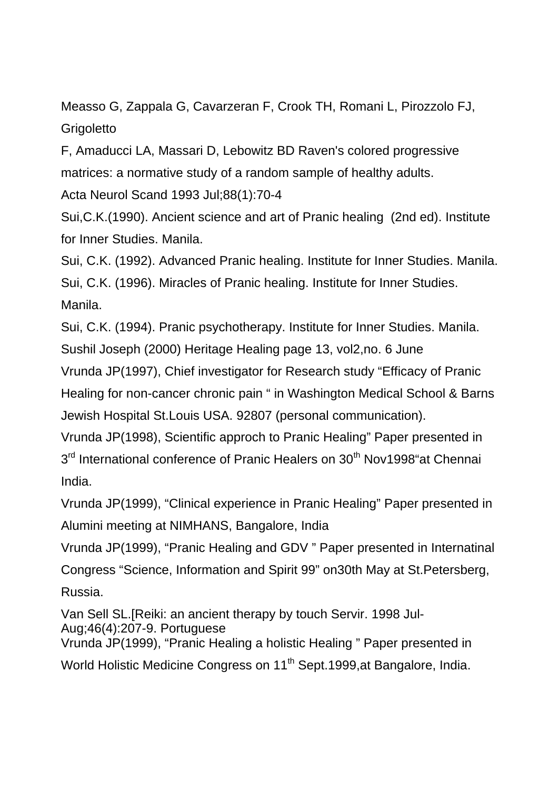Measso G, Zappala G, Cavarzeran F, Crook TH, Romani L, Pirozzolo FJ, **Grigoletto** 

F, Amaducci LA, Massari D, Lebowitz BD Raven's colored progressive matrices: a normative study of a random sample of healthy adults.

Acta Neurol Scand 1993 Jul;88(1):70-4

Sui,C.K.(1990). Ancient science and art of Pranic healing (2nd ed). Institute for Inner Studies. Manila.

Sui, C.K. (1992). Advanced Pranic healing. Institute for Inner Studies. Manila. Sui, C.K. (1996). Miracles of Pranic healing. Institute for Inner Studies. Manila.

Sui, C.K. (1994). Pranic psychotherapy. Institute for Inner Studies. Manila. Sushil Joseph (2000) Heritage Healing page 13, vol2,no. 6 June

Vrunda JP(1997), Chief investigator for Research study "Efficacy of Pranic Healing for non-cancer chronic pain " in Washington Medical School & Barns Jewish Hospital St.Louis USA. 92807 (personal communication).

Vrunda JP(1998), Scientific approch to Pranic Healing" Paper presented in 3<sup>rd</sup> International conference of Pranic Healers on 30<sup>th</sup> Nov1998"at Chennai India.

Vrunda JP(1999), "Clinical experience in Pranic Healing" Paper presented in Alumini meeting at NIMHANS, Bangalore, India

Vrunda JP(1999), "Pranic Healing and GDV " Paper presented in Internatinal Congress "Science, Information and Spirit 99" on30th May at St.Petersberg, Russia.

Van Sell SL.[Reiki: an ancient therapy by touch Servir. 1998 Jul-Aug;46(4):207-9. Portuguese Vrunda JP(1999), "Pranic Healing a holistic Healing " Paper presented in

World Holistic Medicine Congress on 11<sup>th</sup> Sept.1999, at Bangalore, India.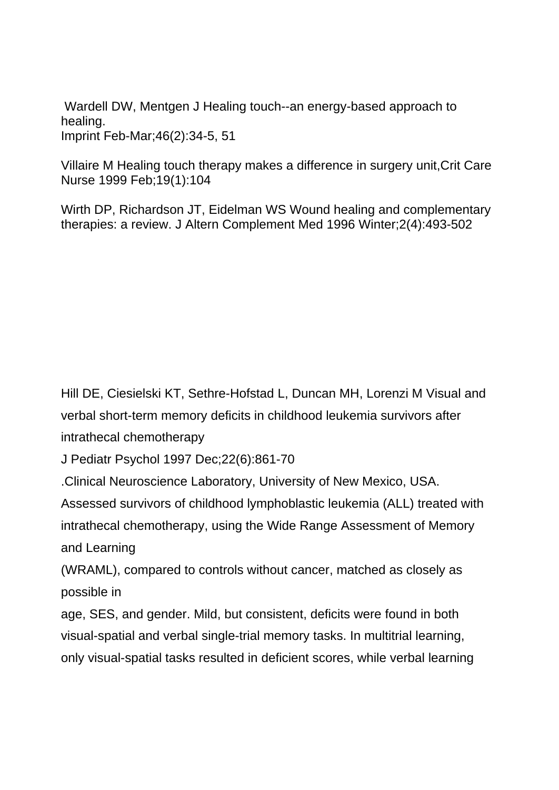Wardell DW, Mentgen J Healing touch--an energy-based approach to healing. Imprint Feb-Mar;46(2):34-5, 51

Villaire M Healing touch therapy makes a difference in surgery unit,Crit Care Nurse 1999 Feb;19(1):104

Wirth DP, Richardson JT, Eidelman WS Wound healing and complementary therapies: a review. J Altern Complement Med 1996 Winter;2(4):493-502

Hill DE, Ciesielski KT, Sethre-Hofstad L, Duncan MH, Lorenzi M Visual and verbal short-term memory deficits in childhood leukemia survivors after intrathecal chemotherapy

J Pediatr Psychol 1997 Dec;22(6):861-70

.Clinical Neuroscience Laboratory, University of New Mexico, USA.

Assessed survivors of childhood lymphoblastic leukemia (ALL) treated with intrathecal chemotherapy, using the Wide Range Assessment of Memory and Learning

(WRAML), compared to controls without cancer, matched as closely as possible in

age, SES, and gender. Mild, but consistent, deficits were found in both visual-spatial and verbal single-trial memory tasks. In multitrial learning, only visual-spatial tasks resulted in deficient scores, while verbal learning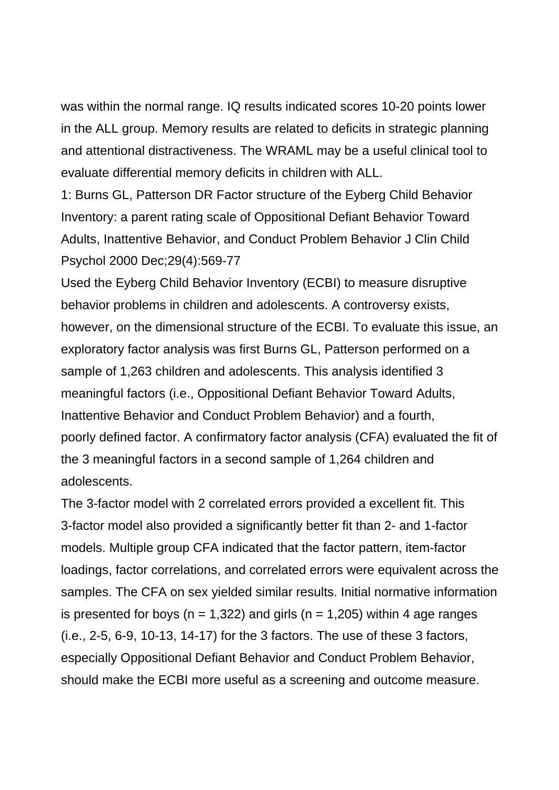was within the normal range. IQ results indicated scores 10-20 points lower in the ALL group. Memory results are related to deficits in strategic planning and attentional distractiveness. The WRAML may be a useful clinical tool to evaluate differential memory deficits in children with ALL.

1: Burns GL, Patterson DR Factor structure of the Eyberg Child Behavior Inventory: a parent rating scale of Oppositional Defiant Behavior Toward Adults, Inattentive Behavior, and Conduct Problem Behavior J Clin Child Psychol 2000 Dec;29(4):569-77

Used the Eyberg Child Behavior Inventory (ECBI) to measure disruptive behavior problems in children and adolescents. A controversy exists, however, on the dimensional structure of the ECBI. To evaluate this issue, an exploratory factor analysis was first Burns GL, Patterson performed on a sample of 1,263 children and adolescents. This analysis identified 3 meaningful factors (i.e., Oppositional Defiant Behavior Toward Adults, Inattentive Behavior and Conduct Problem Behavior) and a fourth, poorly defined factor. A confirmatory factor analysis (CFA) evaluated the fit of the 3 meaningful factors in a second sample of 1,264 children and adolescents.

The 3-factor model with 2 correlated errors provided a excellent fit. This 3-factor model also provided a significantly better fit than 2- and 1-factor models. Multiple group CFA indicated that the factor pattern, item-factor loadings, factor correlations, and correlated errors were equivalent across the samples. The CFA on sex yielded similar results. Initial normative information is presented for boys ( $n = 1,322$ ) and girls ( $n = 1,205$ ) within 4 age ranges (i.e., 2-5, 6-9, 10-13, 14-17) for the 3 factors. The use of these 3 factors, especially Oppositional Defiant Behavior and Conduct Problem Behavior, should make the ECBI more useful as a screening and outcome measure.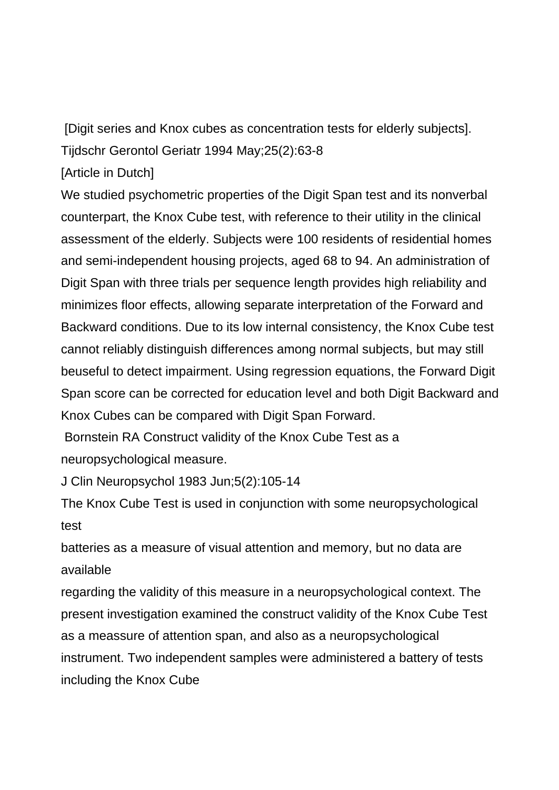[Digit series and Knox cubes as concentration tests for elderly subjects]. Tijdschr Gerontol Geriatr 1994 May;25(2):63-8

[Article in Dutch]

We studied psychometric properties of the Digit Span test and its nonverbal counterpart, the Knox Cube test, with reference to their utility in the clinical assessment of the elderly. Subjects were 100 residents of residential homes and semi-independent housing projects, aged 68 to 94. An administration of Digit Span with three trials per sequence length provides high reliability and minimizes floor effects, allowing separate interpretation of the Forward and Backward conditions. Due to its low internal consistency, the Knox Cube test cannot reliably distinguish differences among normal subjects, but may still beuseful to detect impairment. Using regression equations, the Forward Digit Span score can be corrected for education level and both Digit Backward and Knox Cubes can be compared with Digit Span Forward.

 Bornstein RA Construct validity of the Knox Cube Test as a neuropsychological measure.

J Clin Neuropsychol 1983 Jun;5(2):105-14

The Knox Cube Test is used in conjunction with some neuropsychological test

batteries as a measure of visual attention and memory, but no data are available

regarding the validity of this measure in a neuropsychological context. The present investigation examined the construct validity of the Knox Cube Test as a meassure of attention span, and also as a neuropsychological instrument. Two independent samples were administered a battery of tests including the Knox Cube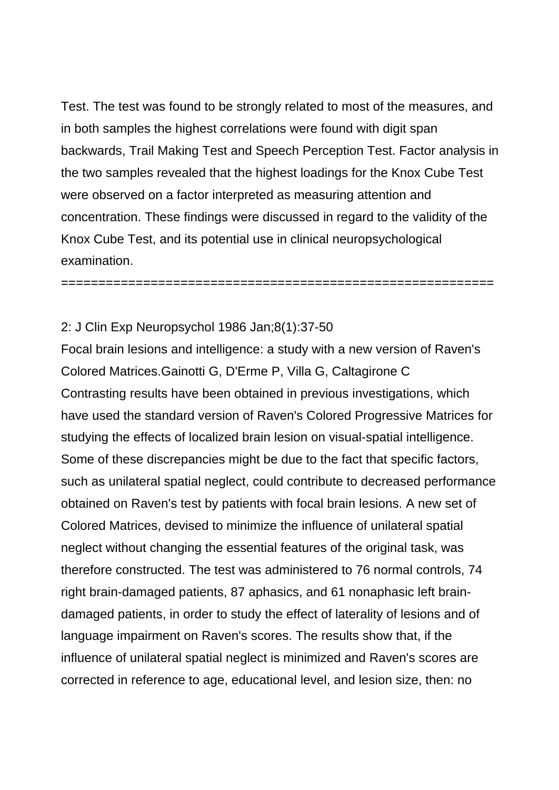Test. The test was found to be strongly related to most of the measures, and in both samples the highest correlations were found with digit span backwards, Trail Making Test and Speech Perception Test. Factor analysis in the two samples revealed that the highest loadings for the Knox Cube Test were observed on a factor interpreted as measuring attention and concentration. These findings were discussed in regard to the validity of the Knox Cube Test, and its potential use in clinical neuropsychological examination.

==========================================================

#### 2: J Clin Exp Neuropsychol 1986 Jan;8(1):37-50

Focal brain lesions and intelligence: a study with a new version of Raven's Colored Matrices.Gainotti G, D'Erme P, Villa G, Caltagirone C Contrasting results have been obtained in previous investigations, which have used the standard version of Raven's Colored Progressive Matrices for studying the effects of localized brain lesion on visual-spatial intelligence. Some of these discrepancies might be due to the fact that specific factors, such as unilateral spatial neglect, could contribute to decreased performance obtained on Raven's test by patients with focal brain lesions. A new set of Colored Matrices, devised to minimize the influence of unilateral spatial neglect without changing the essential features of the original task, was therefore constructed. The test was administered to 76 normal controls, 74 right brain-damaged patients, 87 aphasics, and 61 nonaphasic left braindamaged patients, in order to study the effect of laterality of lesions and of language impairment on Raven's scores. The results show that, if the influence of unilateral spatial neglect is minimized and Raven's scores are corrected in reference to age, educational level, and lesion size, then: no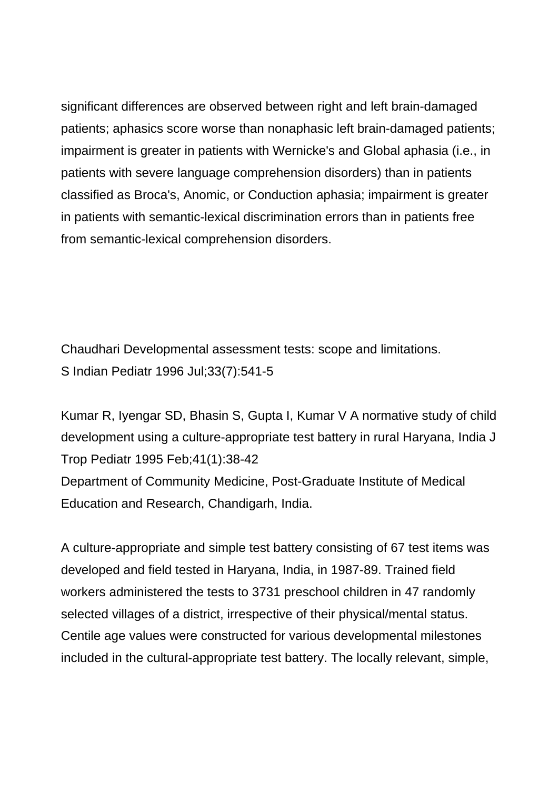significant differences are observed between right and left brain-damaged patients; aphasics score worse than nonaphasic left brain-damaged patients; impairment is greater in patients with Wernicke's and Global aphasia (i.e., in patients with severe language comprehension disorders) than in patients classified as Broca's, Anomic, or Conduction aphasia; impairment is greater in patients with semantic-lexical discrimination errors than in patients free from semantic-lexical comprehension disorders.

Chaudhari Developmental assessment tests: scope and limitations. S Indian Pediatr 1996 Jul;33(7):541-5

Kumar R, Iyengar SD, Bhasin S, Gupta I, Kumar V A normative study of child development using a culture-appropriate test battery in rural Haryana, India J Trop Pediatr 1995 Feb;41(1):38-42 Department of Community Medicine, Post-Graduate Institute of Medical Education and Research, Chandigarh, India.

A culture-appropriate and simple test battery consisting of 67 test items was developed and field tested in Haryana, India, in 1987-89. Trained field workers administered the tests to 3731 preschool children in 47 randomly selected villages of a district, irrespective of their physical/mental status. Centile age values were constructed for various developmental milestones included in the cultural-appropriate test battery. The locally relevant, simple,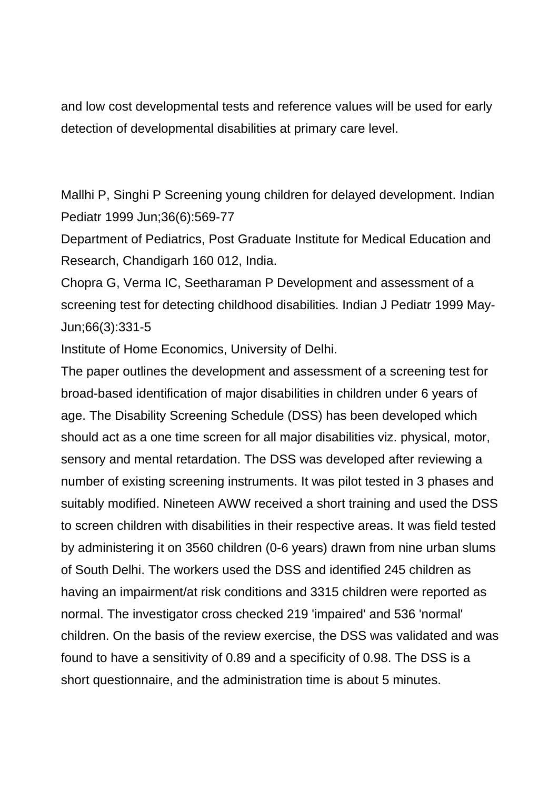and low cost developmental tests and reference values will be used for early detection of developmental disabilities at primary care level.

Mallhi P, Singhi P Screening young children for delayed development. Indian Pediatr 1999 Jun;36(6):569-77

Department of Pediatrics, Post Graduate Institute for Medical Education and Research, Chandigarh 160 012, India.

Chopra G, Verma IC, Seetharaman P Development and assessment of a screening test for detecting childhood disabilities. Indian J Pediatr 1999 May-Jun;66(3):331-5

Institute of Home Economics, University of Delhi.

The paper outlines the development and assessment of a screening test for broad-based identification of major disabilities in children under 6 years of age. The Disability Screening Schedule (DSS) has been developed which should act as a one time screen for all major disabilities viz. physical, motor, sensory and mental retardation. The DSS was developed after reviewing a number of existing screening instruments. It was pilot tested in 3 phases and suitably modified. Nineteen AWW received a short training and used the DSS to screen children with disabilities in their respective areas. It was field tested by administering it on 3560 children (0-6 years) drawn from nine urban slums of South Delhi. The workers used the DSS and identified 245 children as having an impairment/at risk conditions and 3315 children were reported as normal. The investigator cross checked 219 'impaired' and 536 'normal' children. On the basis of the review exercise, the DSS was validated and was found to have a sensitivity of 0.89 and a specificity of 0.98. The DSS is a short questionnaire, and the administration time is about 5 minutes.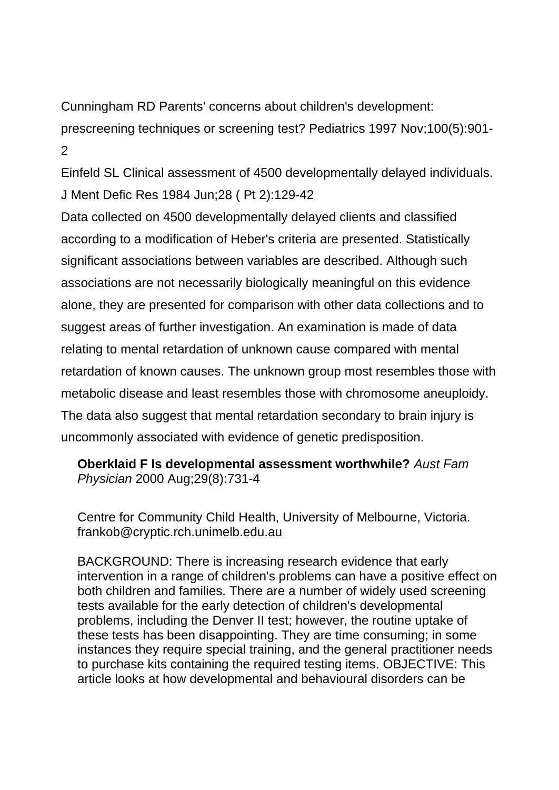Cunningham RD Parents' concerns about children's development:

prescreening techniques or screening test? Pediatrics 1997 Nov;100(5):901-  $\mathcal{P}$ 

Einfeld SL Clinical assessment of 4500 developmentally delayed individuals. J Ment Defic Res 1984 Jun;28 ( Pt 2):129-42

Data collected on 4500 developmentally delayed clients and classified according to a modification of Heber's criteria are presented. Statistically significant associations between variables are described. Although such associations are not necessarily biologically meaningful on this evidence alone, they are presented for comparison with other data collections and to suggest areas of further investigation. An examination is made of data relating to mental retardation of unknown cause compared with mental retardation of known causes. The unknown group most resembles those with metabolic disease and least resembles those with chromosome aneuploidy. The data also suggest that mental retardation secondary to brain injury is uncommonly associated with evidence of genetic predisposition.

**Oberklaid F Is developmental assessment worthwhile?** *Aust Fam Physician* 2000 Aug;29(8):731-4

Centre for Community Child Health, University of Melbourne, Victoria. [frankob@cryptic.rch.unimelb.edu.au](mailto:frankob@cryptic.rch.unimelb.edu.au)

BACKGROUND: There is increasing research evidence that early intervention in a range of children's problems can have a positive effect on both children and families. There are a number of widely used screening tests available for the early detection of children's developmental problems, including the Denver II test; however, the routine uptake of these tests has been disappointing. They are time consuming; in some instances they require special training, and the general practitioner needs to purchase kits containing the required testing items. OBJECTIVE: This article looks at how developmental and behavioural disorders can be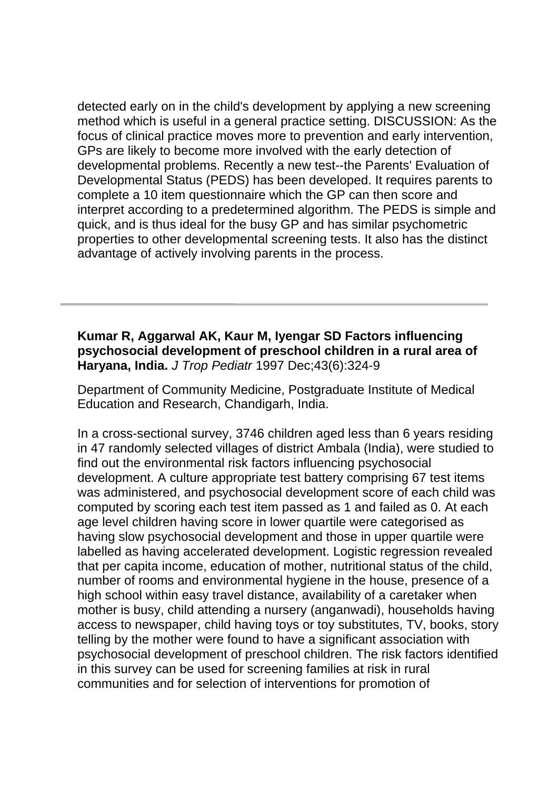detected early on in the child's development by applying a new screening method which is useful in a general practice setting. DISCUSSION: As the focus of clinical practice moves more to prevention and early intervention, GPs are likely to become more involved with the early detection of developmental problems. Recently a new test--the Parents' Evaluation of Developmental Status (PEDS) has been developed. It requires parents to complete a 10 item questionnaire which the GP can then score and interpret according to a predetermined algorithm. The PEDS is simple and quick, and is thus ideal for the busy GP and has similar psychometric properties to other developmental screening tests. It also has the distinct advantage of actively involving parents in the process.

### **Kumar R, Aggarwal AK, Kaur M, Iyengar SD Factors influencing psychosocial development of preschool children in a rural area of Haryana, India.** *J Trop Pediatr* 1997 Dec;43(6):324-9

Department of Community Medicine, Postgraduate Institute of Medical Education and Research, Chandigarh, India.

In a cross-sectional survey, 3746 children aged less than 6 years residing in 47 randomly selected villages of district Ambala (India), were studied to find out the environmental risk factors influencing psychosocial development. A culture appropriate test battery comprising 67 test items was administered, and psychosocial development score of each child was computed by scoring each test item passed as 1 and failed as 0. At each age level children having score in lower quartile were categorised as having slow psychosocial development and those in upper quartile were labelled as having accelerated development. Logistic regression revealed that per capita income, education of mother, nutritional status of the child, number of rooms and environmental hygiene in the house, presence of a high school within easy travel distance, availability of a caretaker when mother is busy, child attending a nursery (anganwadi), households having access to newspaper, child having toys or toy substitutes, TV, books, story telling by the mother were found to have a significant association with psychosocial development of preschool children. The risk factors identified in this survey can be used for screening families at risk in rural communities and for selection of interventions for promotion of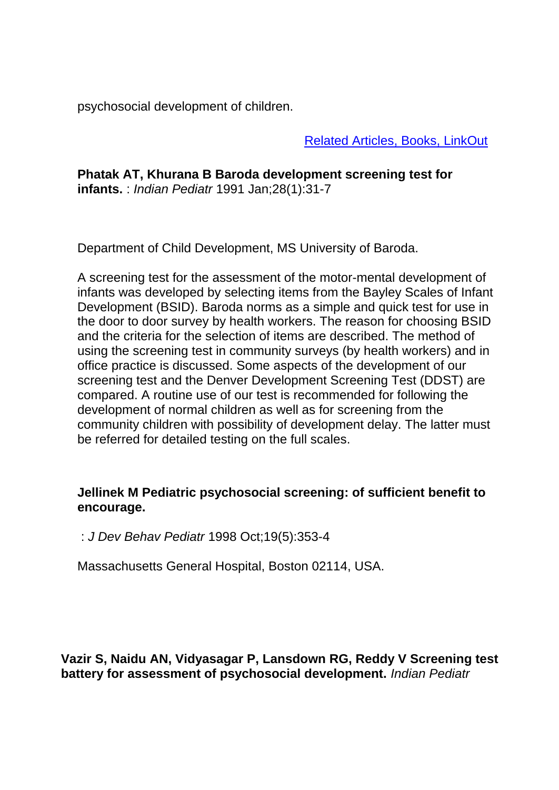psychosocial development of children.

Related Articles, Books, LinkOut

**Phatak AT, Khurana B Baroda development screening test for infants.** : *Indian Pediatr* 1991 Jan;28(1):31-7

Department of Child Development, MS University of Baroda.

A screening test for the assessment of the motor-mental development of infants was developed by selecting items from the Bayley Scales of Infant Development (BSID). Baroda norms as a simple and quick test for use in the door to door survey by health workers. The reason for choosing BSID and the criteria for the selection of items are described. The method of using the screening test in community surveys (by health workers) and in office practice is discussed. Some aspects of the development of our screening test and the Denver Development Screening Test (DDST) are compared. A routine use of our test is recommended for following the development of normal children as well as for screening from the community children with possibility of development delay. The latter must be referred for detailed testing on the full scales.

#### **Jellinek M Pediatric psychosocial screening: of sufficient benefit to encourage.**

: *J Dev Behav Pediatr* 1998 Oct;19(5):353-4

Massachusetts General Hospital, Boston 02114, USA.

**Vazir S, Naidu AN, Vidyasagar P, Lansdown RG, Reddy V Screening test battery for assessment of psychosocial development.** *Indian Pediatr*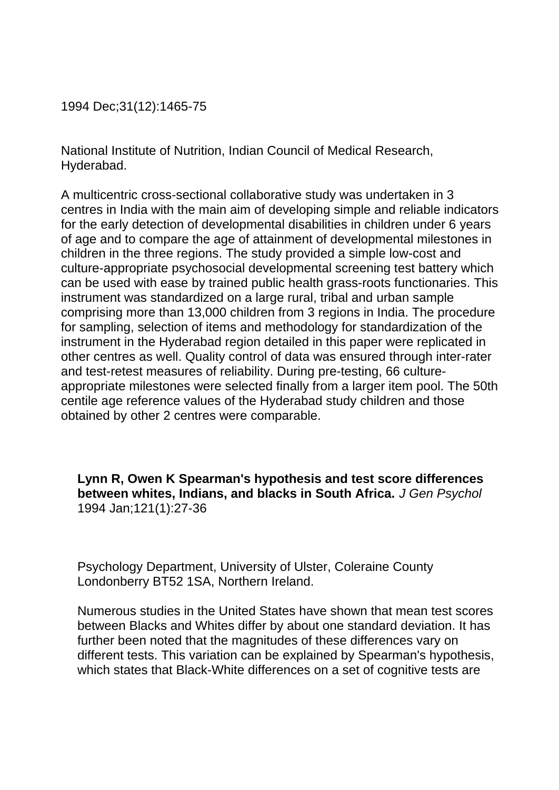1994 Dec;31(12):1465-75

National Institute of Nutrition, Indian Council of Medical Research, Hyderabad.

A multicentric cross-sectional collaborative study was undertaken in 3 centres in India with the main aim of developing simple and reliable indicators for the early detection of developmental disabilities in children under 6 years of age and to compare the age of attainment of developmental milestones in children in the three regions. The study provided a simple low-cost and culture-appropriate psychosocial developmental screening test battery which can be used with ease by trained public health grass-roots functionaries. This instrument was standardized on a large rural, tribal and urban sample comprising more than 13,000 children from 3 regions in India. The procedure for sampling, selection of items and methodology for standardization of the instrument in the Hyderabad region detailed in this paper were replicated in other centres as well. Quality control of data was ensured through inter-rater and test-retest measures of reliability. During pre-testing, 66 cultureappropriate milestones were selected finally from a larger item pool. The 50th centile age reference values of the Hyderabad study children and those obtained by other 2 centres were comparable.

**Lynn R, Owen K Spearman's hypothesis and test score differences between whites, Indians, and blacks in South Africa.** *J Gen Psychol* 1994 Jan;121(1):27-36

Psychology Department, University of Ulster, Coleraine County Londonberry BT52 1SA, Northern Ireland.

Numerous studies in the United States have shown that mean test scores between Blacks and Whites differ by about one standard deviation. It has further been noted that the magnitudes of these differences vary on different tests. This variation can be explained by Spearman's hypothesis, which states that Black-White differences on a set of cognitive tests are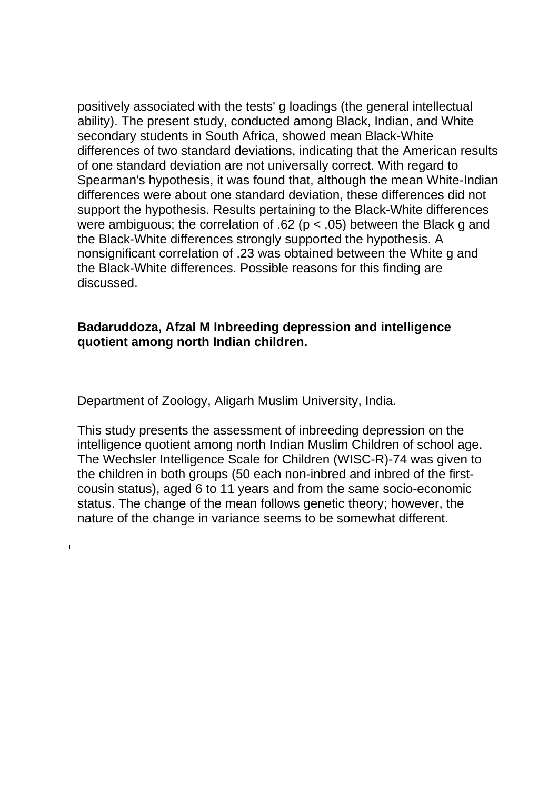positively associated with the tests' g loadings (the general intellectual ability). The present study, conducted among Black, Indian, and White secondary students in South Africa, showed mean Black-White differences of two standard deviations, indicating that the American results of one standard deviation are not universally correct. With regard to Spearman's hypothesis, it was found that, although the mean White-Indian differences were about one standard deviation, these differences did not support the hypothesis. Results pertaining to the Black-White differences were ambiguous; the correlation of .62 ( $p < .05$ ) between the Black g and the Black-White differences strongly supported the hypothesis. A nonsignificant correlation of .23 was obtained between the White g and the Black-White differences. Possible reasons for this finding are discussed.

### **Badaruddoza, Afzal M Inbreeding depression and intelligence quotient among north Indian children.**

Department of Zoology, Aligarh Muslim University, India.

This study presents the assessment of inbreeding depression on the intelligence quotient among north Indian Muslim Children of school age. The Wechsler Intelligence Scale for Children (WISC-R)-74 was given to the children in both groups (50 each non-inbred and inbred of the firstcousin status), aged 6 to 11 years and from the same socio-economic status. The change of the mean follows genetic theory; however, the nature of the change in variance seems to be somewhat different.

 $\Box$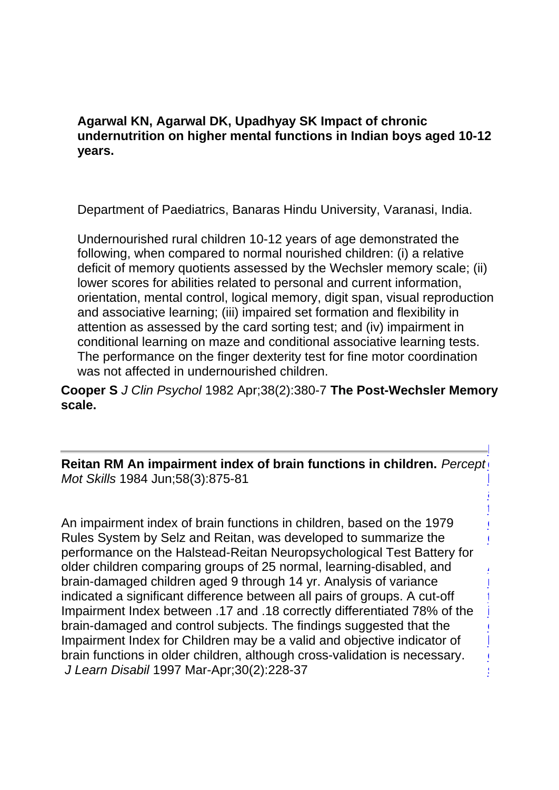**Agarwal KN, Agarwal DK, Upadhyay SK Impact of chronic undernutrition on higher mental functions in Indian boys aged 10-12 years.**

Department of Paediatrics, Banaras Hindu University, Varanasi, India.

Undernourished rural children 10-12 years of age demonstrated the following, when compared to normal nourished children: (i) a relative deficit of memory quotients assessed by the Wechsler memory scale; (ii) lower scores for abilities related to personal and current information, orientation, mental control, logical memory, digit span, visual reproduction and associative learning; (iii) impaired set formation and flexibility in attention as assessed by the card sorting test; and (iv) impairment in conditional learning on maze and conditional associative learning tests. The performance on the finger dexterity test for fine motor coordination was not affected in undernourished children.

**Cooper S** *J Clin Psychol* 1982 Apr;38(2):380-7 **The Post-Wechsler Memory scale.** 

**Reitan RM An impairment index of brain functions in children.** Percept *Mot Skills* 1984 Jun;58(3):875-81 R l

> i<br>L t e d

A r t i c. l e s

An impairment index of brain functions in children, based on the 1979 Rules System by Selz and Reitan, was developed to summarize the performance on the Halstead-Reitan Neuropsychological Test Battery for older children comparing groups of 25 normal, learning-disabled, and brain-damaged children aged 9 through 14 yr. Analysis of variance indicated a significant difference between all pairs of groups. A cut-off Impairment Index between .17 and .18 correctly differentiated 78% of the brain-damaged and control subjects. The findings suggested that the Impairment Index for Children may be a valid and objective indicator of brain functions in older children, although cross-validation is necessary. *J Learn Disabil* 1997 Mar-Apr;30(2):228-37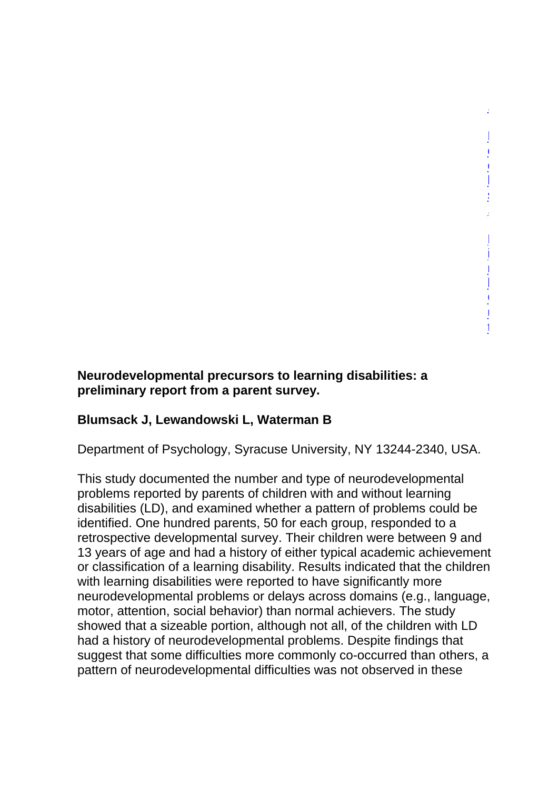#### **Neurodevelopmental precursors to learning disabilities: a preliminary report from a parent survey.**

#### **Blumsack J, Lewandowski L, Waterman B**

Department of Psychology, Syracuse University, NY 13244-2340, USA.

,

B o o k s ,

L i n k O u t

This study documented the number and type of neurodevelopmental problems reported by parents of children with and without learning disabilities (LD), and examined whether a pattern of problems could be identified. One hundred parents, 50 for each group, responded to a retrospective developmental survey. Their children were between 9 and 13 years of age and had a history of either typical academic achievement or classification of a learning disability. Results indicated that the children with learning disabilities were reported to have significantly more neurodevelopmental problems or delays across domains (e.g., language, motor, attention, social behavior) than normal achievers. The study showed that a sizeable portion, although not all, of the children with LD had a history of neurodevelopmental problems. Despite findings that suggest that some difficulties more commonly co-occurred than others, a pattern of neurodevelopmental difficulties was not observed in these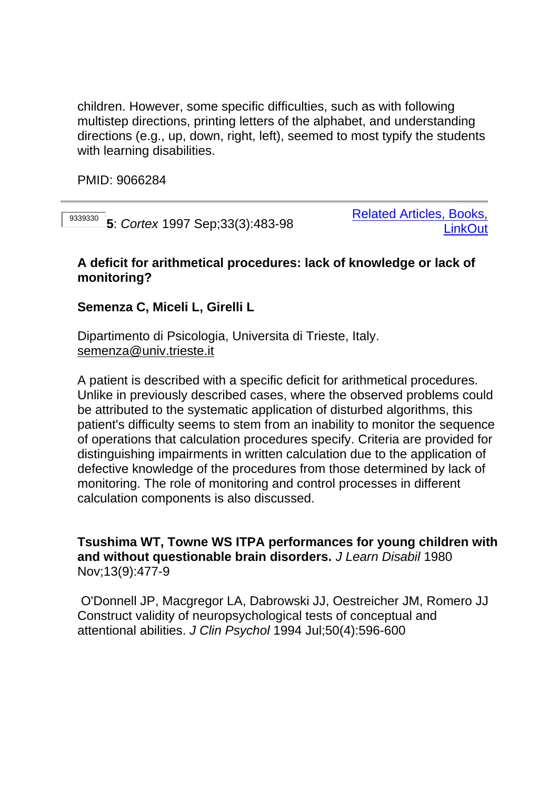children. However, some specific difficulties, such as with following multistep directions, printing letters of the alphabet, and understanding directions (e.g., up, down, right, left), seemed to most typify the students with learning disabilities.

PMID: 9066284

<sup>9339330</sup> **5**: *Cortex* 1997 Sep;33(3):483-98

Related Articles, Books, **LinkOut** 

#### **A deficit for arithmetical procedures: lack of knowledge or lack of monitoring?**

## **Semenza C, Miceli L, Girelli L**

Dipartimento di Psicologia, Universita di Trieste, Italy. [semenza@univ.trieste.it](mailto:semenza@univ.trieste.it)

A patient is described with a specific deficit for arithmetical procedures. Unlike in previously described cases, where the observed problems could be attributed to the systematic application of disturbed algorithms, this patient's difficulty seems to stem from an inability to monitor the sequence of operations that calculation procedures specify. Criteria are provided for distinguishing impairments in written calculation due to the application of defective knowledge of the procedures from those determined by lack of monitoring. The role of monitoring and control processes in different calculation components is also discussed.

**Tsushima WT, Towne WS ITPA performances for young children with and without questionable brain disorders.** *J Learn Disabil* 1980 Nov;13(9):477-9

 O'Donnell JP, Macgregor LA, Dabrowski JJ, Oestreicher JM, Romero JJ Construct validity of neuropsychological tests of conceptual and attentional abilities. *J Clin Psychol* 1994 Jul;50(4):596-600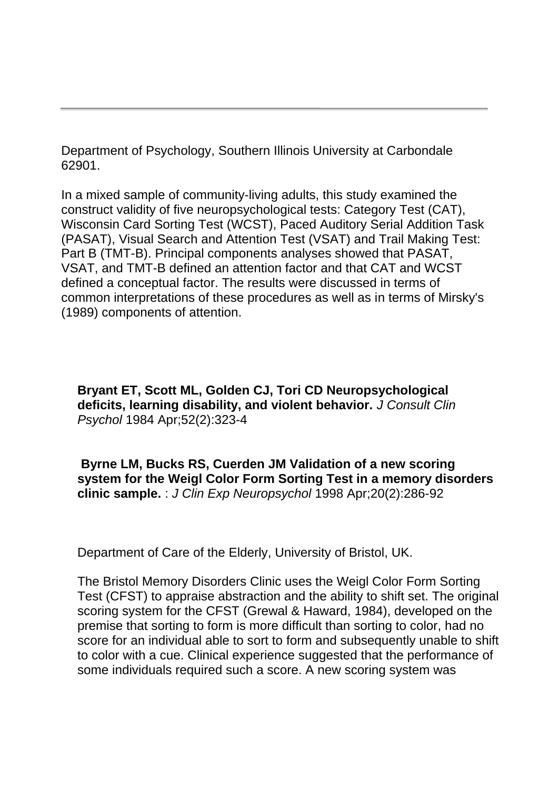Department of Psychology, Southern Illinois University at Carbondale 62901.

In a mixed sample of community-living adults, this study examined the construct validity of five neuropsychological tests: Category Test (CAT), Wisconsin Card Sorting Test (WCST), Paced Auditory Serial Addition Task (PASAT), Visual Search and Attention Test (VSAT) and Trail Making Test: Part B (TMT-B). Principal components analyses showed that PASAT, VSAT, and TMT-B defined an attention factor and that CAT and WCST defined a conceptual factor. The results were discussed in terms of common interpretations of these procedures as well as in terms of Mirsky's (1989) components of attention.

**Bryant ET, Scott ML, Golden CJ, Tori CD Neuropsychological deficits, learning disability, and violent behavior.** *J Consult Clin Psychol* 1984 Apr;52(2):323-4

**Byrne LM, Bucks RS, Cuerden JM Validation of a new scoring system for the Weigl Color Form Sorting Test in a memory disorders clinic sample.** : *J Clin Exp Neuropsychol* 1998 Apr;20(2):286-92

Department of Care of the Elderly, University of Bristol, UK.

The Bristol Memory Disorders Clinic uses the Weigl Color Form Sorting Test (CFST) to appraise abstraction and the ability to shift set. The original scoring system for the CFST (Grewal & Haward, 1984), developed on the premise that sorting to form is more difficult than sorting to color, had no score for an individual able to sort to form and subsequently unable to shift to color with a cue. Clinical experience suggested that the performance of some individuals required such a score. A new scoring system was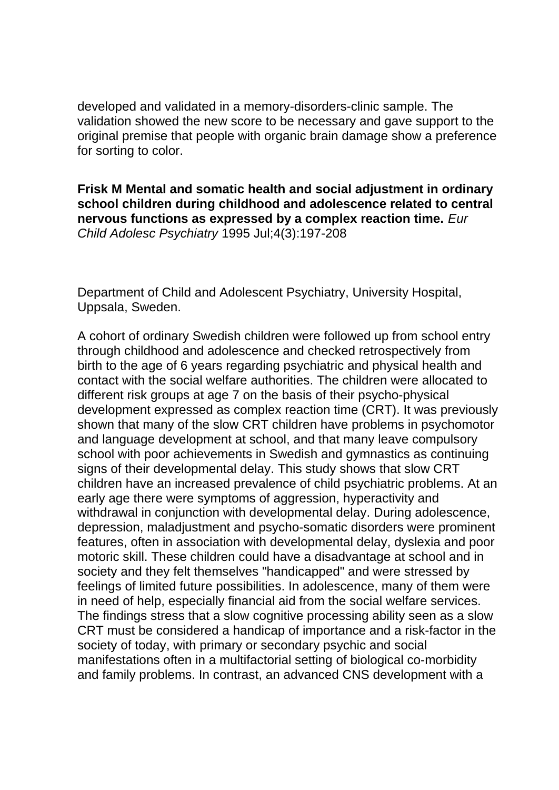developed and validated in a memory-disorders-clinic sample. The validation showed the new score to be necessary and gave support to the original premise that people with organic brain damage show a preference for sorting to color.

**Frisk M Mental and somatic health and social adjustment in ordinary school children during childhood and adolescence related to central nervous functions as expressed by a complex reaction time.** *Eur Child Adolesc Psychiatry* 1995 Jul;4(3):197-208

Department of Child and Adolescent Psychiatry, University Hospital, Uppsala, Sweden.

A cohort of ordinary Swedish children were followed up from school entry through childhood and adolescence and checked retrospectively from birth to the age of 6 years regarding psychiatric and physical health and contact with the social welfare authorities. The children were allocated to different risk groups at age 7 on the basis of their psycho-physical development expressed as complex reaction time (CRT). It was previously shown that many of the slow CRT children have problems in psychomotor and language development at school, and that many leave compulsory school with poor achievements in Swedish and gymnastics as continuing signs of their developmental delay. This study shows that slow CRT children have an increased prevalence of child psychiatric problems. At an early age there were symptoms of aggression, hyperactivity and withdrawal in conjunction with developmental delay. During adolescence, depression, maladjustment and psycho-somatic disorders were prominent features, often in association with developmental delay, dyslexia and poor motoric skill. These children could have a disadvantage at school and in society and they felt themselves "handicapped" and were stressed by feelings of limited future possibilities. In adolescence, many of them were in need of help, especially financial aid from the social welfare services. The findings stress that a slow cognitive processing ability seen as a slow CRT must be considered a handicap of importance and a risk-factor in the society of today, with primary or secondary psychic and social manifestations often in a multifactorial setting of biological co-morbidity and family problems. In contrast, an advanced CNS development with a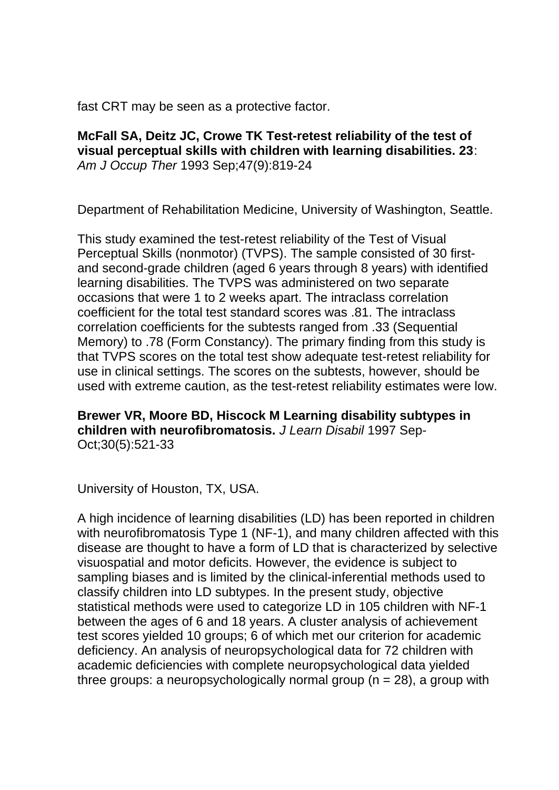fast CRT may be seen as a protective factor.

### **McFall SA, Deitz JC, Crowe TK Test-retest reliability of the test of visual perceptual skills with children with learning disabilities. 23**: *Am J Occup Ther* 1993 Sep;47(9):819-24

Department of Rehabilitation Medicine, University of Washington, Seattle.

This study examined the test-retest reliability of the Test of Visual Perceptual Skills (nonmotor) (TVPS). The sample consisted of 30 firstand second-grade children (aged 6 years through 8 years) with identified learning disabilities. The TVPS was administered on two separate occasions that were 1 to 2 weeks apart. The intraclass correlation coefficient for the total test standard scores was .81. The intraclass correlation coefficients for the subtests ranged from .33 (Sequential Memory) to .78 (Form Constancy). The primary finding from this study is that TVPS scores on the total test show adequate test-retest reliability for use in clinical settings. The scores on the subtests, however, should be used with extreme caution, as the test-retest reliability estimates were low.

**Brewer VR, Moore BD, Hiscock M Learning disability subtypes in children with neurofibromatosis.** *J Learn Disabil* 1997 Sep-Oct;30(5):521-33

University of Houston, TX, USA.

A high incidence of learning disabilities (LD) has been reported in children with neurofibromatosis Type 1 (NF-1), and many children affected with this disease are thought to have a form of LD that is characterized by selective visuospatial and motor deficits. However, the evidence is subject to sampling biases and is limited by the clinical-inferential methods used to classify children into LD subtypes. In the present study, objective statistical methods were used to categorize LD in 105 children with NF-1 between the ages of 6 and 18 years. A cluster analysis of achievement test scores yielded 10 groups; 6 of which met our criterion for academic deficiency. An analysis of neuropsychological data for 72 children with academic deficiencies with complete neuropsychological data yielded three groups: a neuropsychologically normal group  $(n = 28)$ , a group with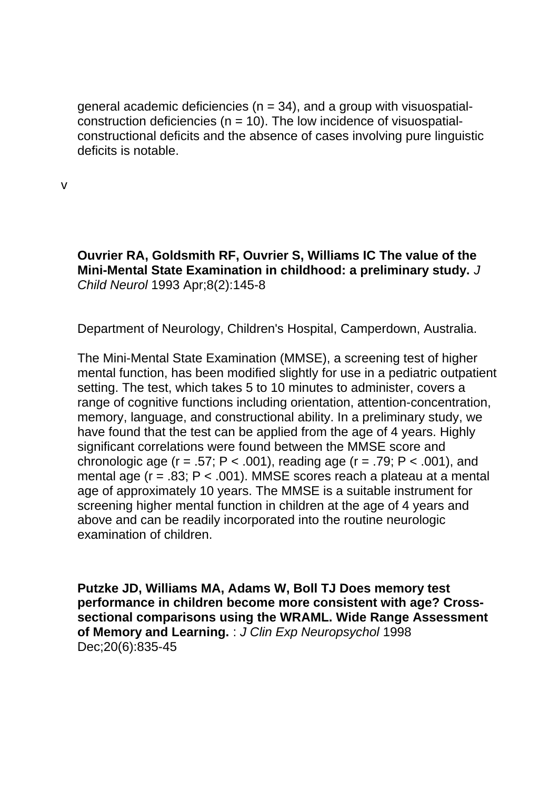general academic deficiencies ( $n = 34$ ), and a group with visuospatialconstruction deficiencies ( $n = 10$ ). The low incidence of visuospatialconstructional deficits and the absence of cases involving pure linguistic deficits is notable.

v

**Ouvrier RA, Goldsmith RF, Ouvrier S, Williams IC The value of the Mini-Mental State Examination in childhood: a preliminary study.** *J Child Neurol* 1993 Apr;8(2):145-8

Department of Neurology, Children's Hospital, Camperdown, Australia.

The Mini-Mental State Examination (MMSE), a screening test of higher mental function, has been modified slightly for use in a pediatric outpatient setting. The test, which takes 5 to 10 minutes to administer, covers a range of cognitive functions including orientation, attention-concentration, memory, language, and constructional ability. In a preliminary study, we have found that the test can be applied from the age of 4 years. Highly significant correlations were found between the MMSE score and chronologic age ( $r = .57$ ; P < .001), reading age ( $r = .79$ ; P < .001), and mental age ( $r = .83$ ;  $P < .001$ ). MMSE scores reach a plateau at a mental age of approximately 10 years. The MMSE is a suitable instrument for screening higher mental function in children at the age of 4 years and above and can be readily incorporated into the routine neurologic examination of children.

**Putzke JD, Williams MA, Adams W, Boll TJ Does memory test performance in children become more consistent with age? Crosssectional comparisons using the WRAML. Wide Range Assessment of Memory and Learning.** : *J Clin Exp Neuropsychol* 1998 Dec;20(6):835-45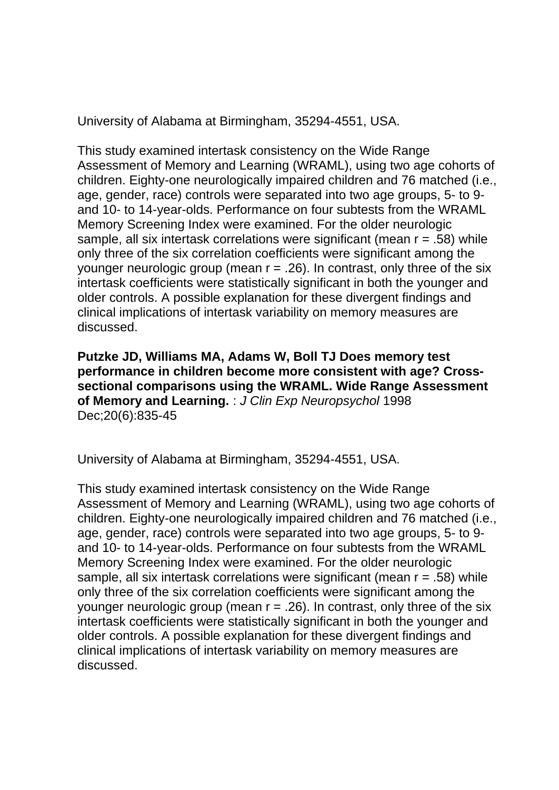University of Alabama at Birmingham, 35294-4551, USA.

This study examined intertask consistency on the Wide Range Assessment of Memory and Learning (WRAML), using two age cohorts of children. Eighty-one neurologically impaired children and 76 matched (i.e., age, gender, race) controls were separated into two age groups, 5- to 9 and 10- to 14-year-olds. Performance on four subtests from the WRAML Memory Screening Index were examined. For the older neurologic sample, all six intertask correlations were significant (mean r = .58) while only three of the six correlation coefficients were significant among the younger neurologic group (mean  $r = .26$ ). In contrast, only three of the six intertask coefficients were statistically significant in both the younger and older controls. A possible explanation for these divergent findings and clinical implications of intertask variability on memory measures are discussed.

**Putzke JD, Williams MA, Adams W, Boll TJ Does memory test performance in children become more consistent with age? Crosssectional comparisons using the WRAML. Wide Range Assessment of Memory and Learning.** : *J Clin Exp Neuropsychol* 1998 Dec;20(6):835-45

University of Alabama at Birmingham, 35294-4551, USA.

This study examined intertask consistency on the Wide Range Assessment of Memory and Learning (WRAML), using two age cohorts of children. Eighty-one neurologically impaired children and 76 matched (i.e., age, gender, race) controls were separated into two age groups, 5- to 9 and 10- to 14-year-olds. Performance on four subtests from the WRAML Memory Screening Index were examined. For the older neurologic sample, all six intertask correlations were significant (mean r = .58) while only three of the six correlation coefficients were significant among the younger neurologic group (mean  $r = .26$ ). In contrast, only three of the six intertask coefficients were statistically significant in both the younger and older controls. A possible explanation for these divergent findings and clinical implications of intertask variability on memory measures are discussed.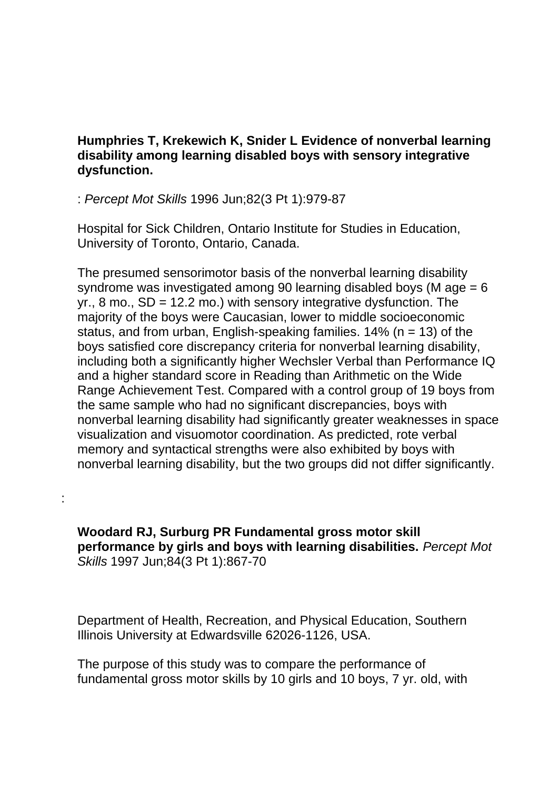### **Humphries T, Krekewich K, Snider L Evidence of nonverbal learning disability among learning disabled boys with sensory integrative dysfunction.**

: *Percept Mot Skills* 1996 Jun;82(3 Pt 1):979-87

:

Hospital for Sick Children, Ontario Institute for Studies in Education, University of Toronto, Ontario, Canada.

The presumed sensorimotor basis of the nonverbal learning disability syndrome was investigated among 90 learning disabled boys (M age = 6  $yr., 8$  mo.,  $SD = 12.2$  mo.) with sensory integrative dysfunction. The majority of the boys were Caucasian, lower to middle socioeconomic status, and from urban, English-speaking families.  $14\%$  (n = 13) of the boys satisfied core discrepancy criteria for nonverbal learning disability, including both a significantly higher Wechsler Verbal than Performance IQ and a higher standard score in Reading than Arithmetic on the Wide Range Achievement Test. Compared with a control group of 19 boys from the same sample who had no significant discrepancies, boys with nonverbal learning disability had significantly greater weaknesses in space visualization and visuomotor coordination. As predicted, rote verbal memory and syntactical strengths were also exhibited by boys with nonverbal learning disability, but the two groups did not differ significantly.

**Woodard RJ, Surburg PR Fundamental gross motor skill performance by girls and boys with learning disabilities.** *Percept Mot Skills* 1997 Jun;84(3 Pt 1):867-70

Department of Health, Recreation, and Physical Education, Southern Illinois University at Edwardsville 62026-1126, USA.

The purpose of this study was to compare the performance of fundamental gross motor skills by 10 girls and 10 boys, 7 yr. old, with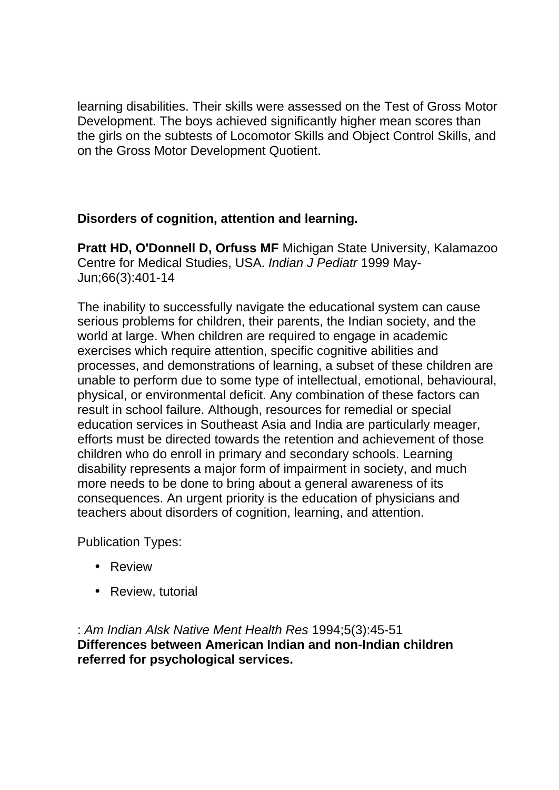learning disabilities. Their skills were assessed on the Test of Gross Motor Development. The boys achieved significantly higher mean scores than the girls on the subtests of Locomotor Skills and Object Control Skills, and on the Gross Motor Development Quotient.

## **Disorders of cognition, attention and learning.**

**Pratt HD, O'Donnell D, Orfuss MF** Michigan State University, Kalamazoo Centre for Medical Studies, USA. *Indian J Pediatr* 1999 May-Jun;66(3):401-14

The inability to successfully navigate the educational system can cause serious problems for children, their parents, the Indian society, and the world at large. When children are required to engage in academic exercises which require attention, specific cognitive abilities and processes, and demonstrations of learning, a subset of these children are unable to perform due to some type of intellectual, emotional, behavioural, physical, or environmental deficit. Any combination of these factors can result in school failure. Although, resources for remedial or special education services in Southeast Asia and India are particularly meager, efforts must be directed towards the retention and achievement of those children who do enroll in primary and secondary schools. Learning disability represents a major form of impairment in society, and much more needs to be done to bring about a general awareness of its consequences. An urgent priority is the education of physicians and teachers about disorders of cognition, learning, and attention.

Publication Types:

- Review
- Review, tutorial

: *Am Indian Alsk Native Ment Health Res* 1994;5(3):45-51 **Differences between American Indian and non-Indian children referred for psychological services.**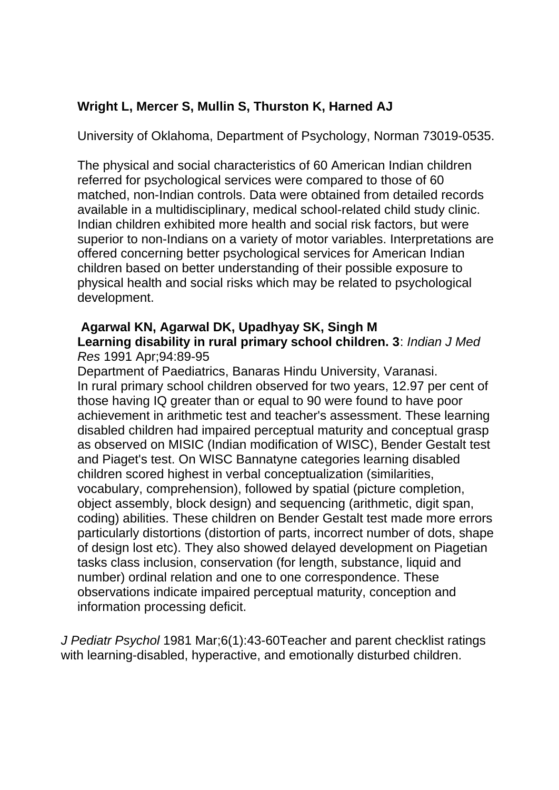## **Wright L, Mercer S, Mullin S, Thurston K, Harned AJ**

University of Oklahoma, Department of Psychology, Norman 73019-0535.

The physical and social characteristics of 60 American Indian children referred for psychological services were compared to those of 60 matched, non-Indian controls. Data were obtained from detailed records available in a multidisciplinary, medical school-related child study clinic. Indian children exhibited more health and social risk factors, but were superior to non-Indians on a variety of motor variables. Interpretations are offered concerning better psychological services for American Indian children based on better understanding of their possible exposure to physical health and social risks which may be related to psychological development.

# **Agarwal KN, Agarwal DK, Upadhyay SK, Singh M**

#### **Learning disability in rural primary school children. 3**: *Indian J Med Res* 1991 Apr;94:89-95

Department of Paediatrics, Banaras Hindu University, Varanasi. In rural primary school children observed for two years, 12.97 per cent of those having IQ greater than or equal to 90 were found to have poor achievement in arithmetic test and teacher's assessment. These learning disabled children had impaired perceptual maturity and conceptual grasp as observed on MISIC (Indian modification of WISC), Bender Gestalt test and Piaget's test. On WISC Bannatyne categories learning disabled children scored highest in verbal conceptualization (similarities, vocabulary, comprehension), followed by spatial (picture completion, object assembly, block design) and sequencing (arithmetic, digit span, coding) abilities. These children on Bender Gestalt test made more errors particularly distortions (distortion of parts, incorrect number of dots, shape of design lost etc). They also showed delayed development on Piagetian tasks class inclusion, conservation (for length, substance, liquid and number) ordinal relation and one to one correspondence. These observations indicate impaired perceptual maturity, conception and information processing deficit.

*J Pediatr Psychol* 1981 Mar;6(1):43-60Teacher and parent checklist ratings with learning-disabled, hyperactive, and emotionally disturbed children.